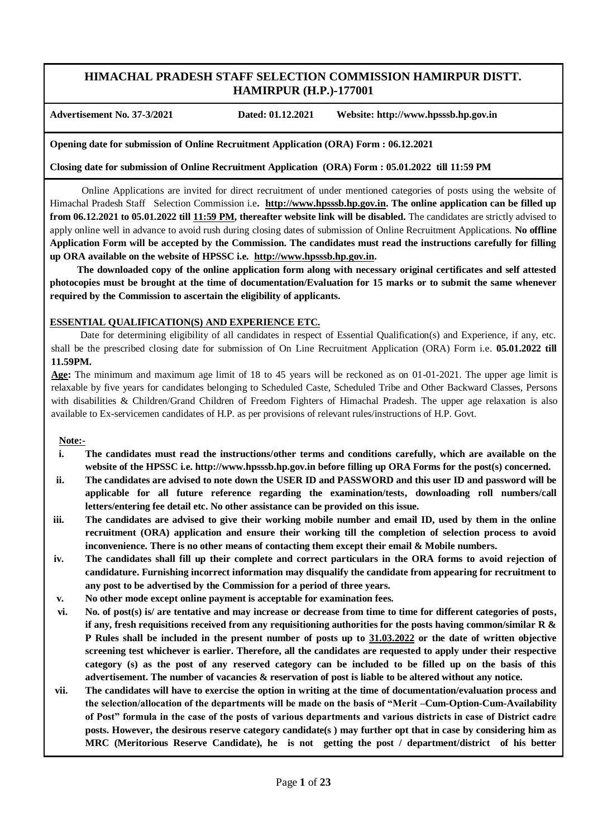# **HIMACHAL PRADESH STAFF SELECTION COMMISSION HAMIRPUR DISTT. HAMIRPUR (H.P.)-177001**

**Advertisement No. 37-3/2021 Dated: 01.12.2021 Website: http://www.hpsssb.hp.gov.in**

**Opening date for submission of Online Recruitment Application (ORA) Form : 06.12.2021**

**Closing date for submission of Online Recruitment Application (ORA) Form : 05.01.2022 till 11:59 PM** 

 Online Applications are invited for direct recruitment of under mentioned categories of posts using the website of Himachal Pradesh Staff Selection Commission i.e**. [http://www.hpsssb.hp.gov.in.](http://www.hpsssb.hp.gov.in/) The online application can be filled up from 06.12.2021 to 05.01.2022 till 11:59 PM, thereafter website link will be disabled.** The candidates are strictly advised to apply online well in advance to avoid rush during closing dates of submission of Online Recruitment Applications. **No offline Application Form will be accepted by the Commission. The candidates must read the instructions carefully for filling up ORA available on the website of HPSSC i.e. [http://www.hpsssb.hp.gov.in.](http://www.hpsssb.hp.gov.in/)**

 **The downloaded copy of the online application form along with necessary original certificates and self attested photocopies must be brought at the time of documentation/Evaluation for 15 marks or to submit the same whenever required by the Commission to ascertain the eligibility of applicants.** 

# **ESSENTIAL QUALIFICATION(S) AND EXPERIENCE ETC.**

 Date for determining eligibility of all candidates in respect of Essential Qualification(s) and Experience, if any, etc. shall be the prescribed closing date for submission of On Line Recruitment Application (ORA) Form i.e. **05.01.2022 till 11.59PM.**

**Age:** The minimum and maximum age limit of 18 to 45 years will be reckoned as on 01-01-2021. The upper age limit is relaxable by five years for candidates belonging to Scheduled Caste, Scheduled Tribe and Other Backward Classes, Persons with disabilities & Children/Grand Children of Freedom Fighters of Himachal Pradesh. The upper age relaxation is also available to Ex-servicemen candidates of H.P. as per provisions of relevant rules/instructions of H.P. Govt.

**Note:-**

- **i. The candidates must read the instructions/other terms and conditions carefully, which are available on the website of the HPSSC i.e. http://www.hpsssb.hp.gov.in before filling up ORA Forms for the post(s) concerned.**
- **ii. The candidates are advised to note down the USER ID and PASSWORD and this user ID and password will be applicable for all future reference regarding the examination/tests, downloading roll numbers/call letters/entering fee detail etc. No other assistance can be provided on this issue.**
- **iii. The candidates are advised to give their working mobile number and email ID, used by them in the online recruitment (ORA) application and ensure their working till the completion of selection process to avoid inconvenience. There is no other means of contacting them except their email & Mobile numbers.**
- **iv. The candidates shall fill up their complete and correct particulars in the ORA forms to avoid rejection of candidature. Furnishing incorrect information may disqualify the candidate from appearing for recruitment to any post to be advertised by the Commission for a period of three years.**
- **v. No other mode except online payment is acceptable for examination fees.**
- **vi. No. of post(s) is/ are tentative and may increase or decrease from time to time for different categories of posts, if any, fresh requisitions received from any requisitioning authorities for the posts having common/similar R & P Rules shall be included in the present number of posts up to 31.03.2022 or the date of written objective screening test whichever is earlier. Therefore, all the candidates are requested to apply under their respective category (s) as the post of any reserved category can be included to be filled up on the basis of this advertisement. The number of vacancies & reservation of post is liable to be altered without any notice.**
- **vii. The candidates will have to exercise the option in writing at the time of documentation/evaluation process and the selection/allocation of the departments will be made on the basis of "Merit –Cum-Option-Cum-Availability of Post" formula in the case of the posts of various departments and various districts in case of District cadre posts. However, the desirous reserve category candidate(s ) may further opt that in case by considering him as MRC (Meritorious Reserve Candidate), he is not getting the post / department/district of his better**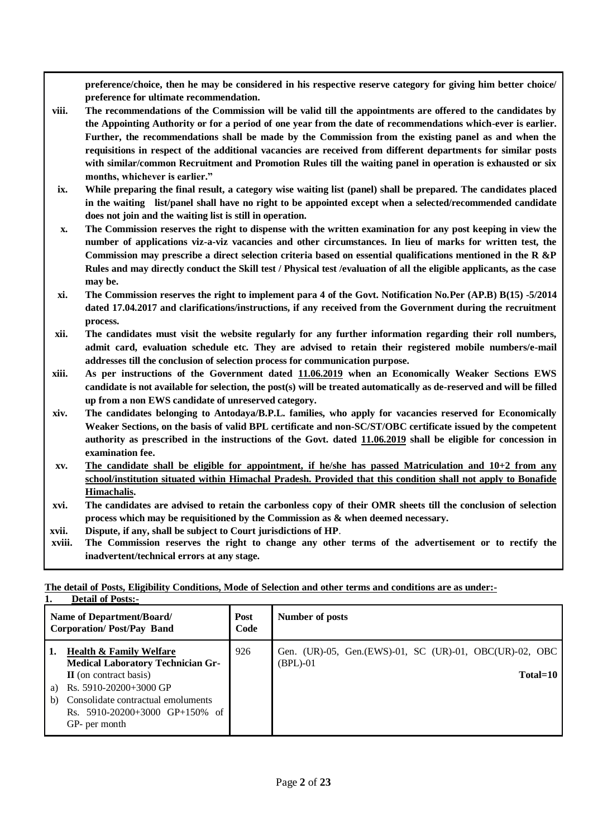**preference/choice, then he may be considered in his respective reserve category for giving him better choice/ preference for ultimate recommendation.**

- **viii. The recommendations of the Commission will be valid till the appointments are offered to the candidates by the Appointing Authority or for a period of one year from the date of recommendations which-ever is earlier. Further, the recommendations shall be made by the Commission from the existing panel as and when the requisitions in respect of the additional vacancies are received from different departments for similar posts with similar/common Recruitment and Promotion Rules till the waiting panel in operation is exhausted or six months, whichever is earlier."**
- **ix. While preparing the final result, a category wise waiting list (panel) shall be prepared. The candidates placed in the waiting list/panel shall have no right to be appointed except when a selected/recommended candidate does not join and the waiting list is still in operation.**
- **x. The Commission reserves the right to dispense with the written examination for any post keeping in view the number of applications viz-a-viz vacancies and other circumstances. In lieu of marks for written test, the Commission may prescribe a direct selection criteria based on essential qualifications mentioned in the R &P Rules and may directly conduct the Skill test / Physical test /evaluation of all the eligible applicants, as the case may be.**
- **xi. The Commission reserves the right to implement para 4 of the Govt. Notification No.Per (AP.B) B(15) -5/2014 dated 17.04.2017 and clarifications/instructions, if any received from the Government during the recruitment process.**
- **xii. The candidates must visit the website regularly for any further information regarding their roll numbers, admit card, evaluation schedule etc. They are advised to retain their registered mobile numbers/e-mail addresses till the conclusion of selection process for communication purpose.**
- **xiii. As per instructions of the Government dated 11.06.2019 when an Economically Weaker Sections EWS candidate is not available for selection, the post(s) will be treated automatically as de-reserved and will be filled up from a non EWS candidate of unreserved category.**
- **xiv. The candidates belonging to Antodaya/B.P.L. families, who apply for vacancies reserved for Economically Weaker Sections, on the basis of valid BPL certificate and non-SC/ST/OBC certificate issued by the competent authority as prescribed in the instructions of the Govt. dated 11.06.2019 shall be eligible for concession in examination fee.**
- **xv. The candidate shall be eligible for appointment, if he/she has passed Matriculation and 10+2 from any school/institution situated within Himachal Pradesh. Provided that this condition shall not apply to Bonafide Himachalis.**
- **xvi. The candidates are advised to retain the carbonless copy of their OMR sheets till the conclusion of selection process which may be requisitioned by the Commission as & when deemed necessary.**
- **xvii. Dispute, if any, shall be subject to Court jurisdictions of HP**.
- **xviii. The Commission reserves the right to change any other terms of the advertisement or to rectify the inadvertent/technical errors at any stage.**

**1. Detail of Posts:- Name of Department/Board/ Corporation/ Post/Pay Band Post Code Number of posts 1. Health & Family Welfare Medical Laboratory Technician Gr-II** (on contract basis) a) Rs. 5910-20200+3000 GP b) Consolidate contractual emoluments Rs. 5910-20200+3000 GP+150% of GP- per month 926 Gen. (UR)-05, Gen.(EWS)-01, SC (UR)-01, OBC(UR)-02, OBC (BPL)-01 **Total=10**

**The detail of Posts, Eligibility Conditions, Mode of Selection and other terms and conditions are as under:-**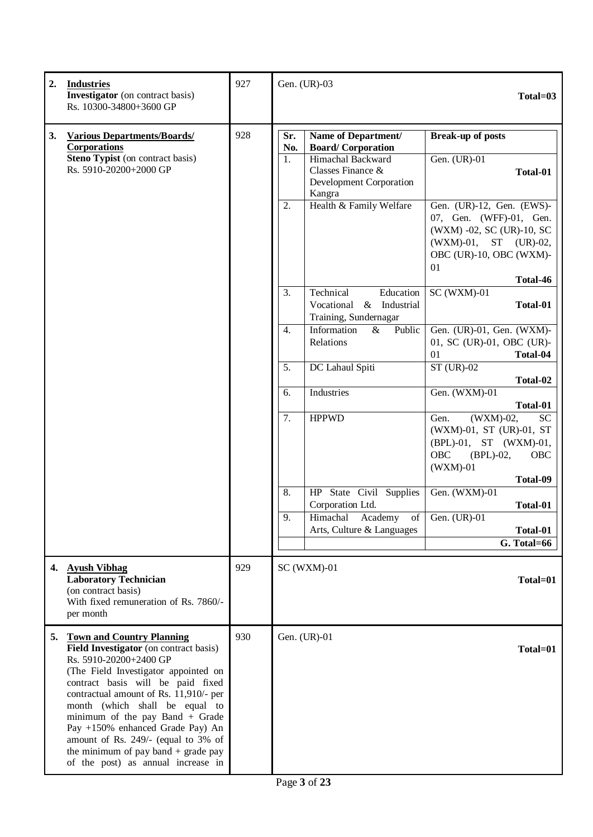| 2. | <b>Industries</b><br><b>Investigator</b> (on contract basis)<br>Rs. 10300-34800+3600 GP                                                                                                                                                                                                                                                                                                                                                                      | 927 |                  | Gen. (UR)-03                                                                       | Total=03                                                                                                                                                |
|----|--------------------------------------------------------------------------------------------------------------------------------------------------------------------------------------------------------------------------------------------------------------------------------------------------------------------------------------------------------------------------------------------------------------------------------------------------------------|-----|------------------|------------------------------------------------------------------------------------|---------------------------------------------------------------------------------------------------------------------------------------------------------|
| 3. | <b>Various Departments/Boards/</b><br>Corporations                                                                                                                                                                                                                                                                                                                                                                                                           | 928 | Sr.<br>No.       | Name of Department/<br><b>Board/Corporation</b>                                    | <b>Break-up of posts</b>                                                                                                                                |
|    | Steno Typist (on contract basis)<br>Rs. 5910-20200+2000 GP                                                                                                                                                                                                                                                                                                                                                                                                   |     | 1.               | Himachal Backward<br>Classes Finance &<br><b>Development Corporation</b><br>Kangra | Gen. (UR)-01<br>Total-01                                                                                                                                |
|    |                                                                                                                                                                                                                                                                                                                                                                                                                                                              |     | 2.               | Health & Family Welfare                                                            | Gen. (UR)-12, Gen. (EWS)-<br>07, Gen. (WFF)-01, Gen.<br>(WXM) -02, SC (UR)-10, SC<br>(WXM)-01, ST (UR)-02,<br>OBC (UR)-10, OBC (WXM)-<br>01<br>Total-46 |
|    |                                                                                                                                                                                                                                                                                                                                                                                                                                                              |     | 3.               | Education<br>Technical<br>Industrial<br>Vocational &<br>Training, Sundernagar      | $SC$ (WXM)-01<br>Total-01                                                                                                                               |
|    |                                                                                                                                                                                                                                                                                                                                                                                                                                                              |     | $\overline{4}$ . | Information<br>$\&$<br>Public<br>Relations                                         | Gen. (UR)-01, Gen. (WXM)-<br>01, SC (UR)-01, OBC (UR)-<br>01<br>Total-04                                                                                |
|    |                                                                                                                                                                                                                                                                                                                                                                                                                                                              |     | 5.               | DC Lahaul Spiti                                                                    | $ST$ (UR)-02<br>Total-02                                                                                                                                |
|    |                                                                                                                                                                                                                                                                                                                                                                                                                                                              |     | 6.               | Industries                                                                         | Gen. (WXM)-01<br>Total-01                                                                                                                               |
|    |                                                                                                                                                                                                                                                                                                                                                                                                                                                              |     | 7.               | <b>HPPWD</b>                                                                       | (WXM)-02,<br><b>SC</b><br>Gen.<br>(WXM)-01, ST (UR)-01, ST<br>(BPL)-01, ST (WXM)-01,<br><b>OBC</b><br>$(BPL)-02$ ,<br>OBC<br>$(WXM)-01$<br>Total-09     |
|    |                                                                                                                                                                                                                                                                                                                                                                                                                                                              |     | 8.               | HP State Civil Supplies<br>Corporation Ltd.                                        | Gen. (WXM)-01<br>Total-01                                                                                                                               |
|    |                                                                                                                                                                                                                                                                                                                                                                                                                                                              |     | 9.               | Himachal Academy of Gen. (UR)-01<br>Arts, Culture & Languages                      | Total-01                                                                                                                                                |
|    |                                                                                                                                                                                                                                                                                                                                                                                                                                                              |     |                  |                                                                                    | G. Total=66                                                                                                                                             |
| 4. | <b>Ayush Vibhag</b><br><b>Laboratory Technician</b><br>(on contract basis)<br>With fixed remuneration of Rs. 7860/-<br>per month                                                                                                                                                                                                                                                                                                                             | 929 |                  | $SC$ (WXM)-01                                                                      | Total=01                                                                                                                                                |
| 5. | <b>Town and Country Planning</b><br>Field Investigator (on contract basis)<br>Rs. 5910-20200+2400 GP<br>(The Field Investigator appointed on<br>contract basis will be paid fixed<br>contractual amount of Rs. 11,910/- per<br>month (which shall be equal to<br>minimum of the pay Band $+$ Grade<br>Pay +150% enhanced Grade Pay) An<br>amount of Rs. 249/- (equal to 3% of<br>the minimum of pay band $+$ grade pay<br>of the post) as annual increase in | 930 |                  | Gen. (UR)-01                                                                       | Total=01                                                                                                                                                |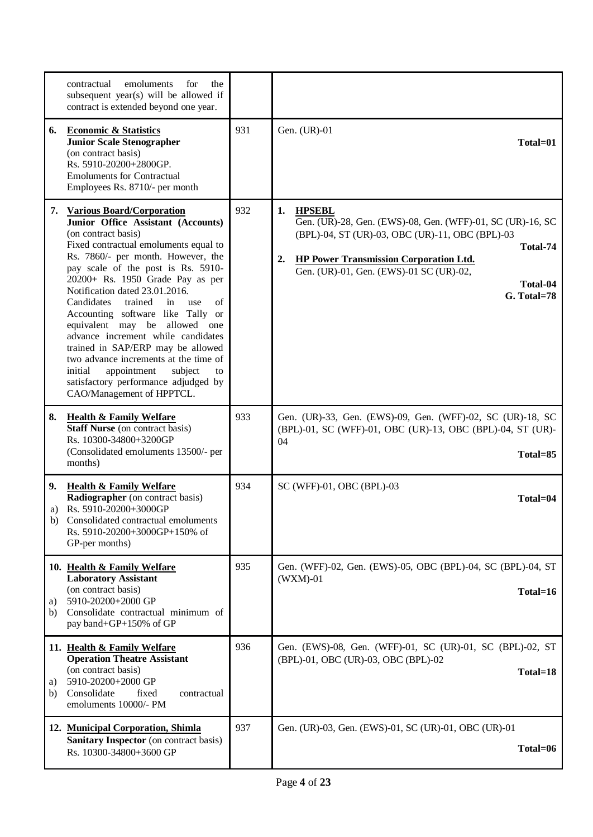|                | emoluments<br>for<br>contractual<br>the<br>subsequent year(s) will be allowed if<br>contract is extended beyond one year.                                                                                                                                                                                                                                                                                                                                                                                                                                                                                                                  |     |                                                                                                                                                                                                                                                                               |
|----------------|--------------------------------------------------------------------------------------------------------------------------------------------------------------------------------------------------------------------------------------------------------------------------------------------------------------------------------------------------------------------------------------------------------------------------------------------------------------------------------------------------------------------------------------------------------------------------------------------------------------------------------------------|-----|-------------------------------------------------------------------------------------------------------------------------------------------------------------------------------------------------------------------------------------------------------------------------------|
| 6.             | <b>Economic &amp; Statistics</b><br><b>Junior Scale Stenographer</b><br>(on contract basis)<br>Rs. 5910-20200+2800GP.<br><b>Emoluments for Contractual</b><br>Employees Rs. 8710/- per month                                                                                                                                                                                                                                                                                                                                                                                                                                               | 931 | Gen. (UR)-01<br>Total=01                                                                                                                                                                                                                                                      |
|                | 7. Various Board/Corporation<br>Junior Office Assistant (Accounts)<br>(on contract basis)<br>Fixed contractual emoluments equal to<br>Rs. 7860/- per month. However, the<br>pay scale of the post is Rs. 5910-<br>20200+ Rs. 1950 Grade Pay as per<br>Notification dated 23.01.2016.<br>Candidates<br>trained<br>in<br>use<br>of<br>Accounting software like Tally or<br>equivalent may be allowed one<br>advance increment while candidates<br>trained in SAP/ERP may be allowed<br>two advance increments at the time of<br>appointment<br>subject<br>initial<br>to<br>satisfactory performance adjudged by<br>CAO/Management of HPPTCL. | 932 | 1.<br><b>HPSEBL</b><br>Gen. (UR)-28, Gen. (EWS)-08, Gen. (WFF)-01, SC (UR)-16, SC<br>(BPL)-04, ST (UR)-03, OBC (UR)-11, OBC (BPL)-03<br>Total-74<br><b>HP Power Transmission Corporation Ltd.</b><br>2.<br>Gen. (UR)-01, Gen. (EWS)-01 SC (UR)-02,<br>Total-04<br>G. Total=78 |
| 8.             | <b>Health &amp; Family Welfare</b><br><b>Staff Nurse</b> (on contract basis)<br>Rs. 10300-34800+3200GP<br>(Consolidated emoluments 13500/- per<br>months)                                                                                                                                                                                                                                                                                                                                                                                                                                                                                  | 933 | Gen. (UR)-33, Gen. (EWS)-09, Gen. (WFF)-02, SC (UR)-18, SC<br>(BPL)-01, SC (WFF)-01, OBC (UR)-13, OBC (BPL)-04, ST (UR)-<br>04<br>Total=85                                                                                                                                    |
| 9.<br>a)<br>b) | <b>Health &amp; Family Welfare</b><br>Radiographer (on contract basis)<br>Rs. 5910-20200+3000GP<br>Consolidated contractual emoluments<br>Rs. 5910-20200+3000GP+150% of<br>GP-per months)                                                                                                                                                                                                                                                                                                                                                                                                                                                  | 934 | SC (WFF)-01, OBC (BPL)-03<br>Total=04                                                                                                                                                                                                                                         |
| a)<br>b)       | 10. Health & Family Welfare<br><b>Laboratory Assistant</b><br>(on contract basis)<br>5910-20200+2000 GP<br>Consolidate contractual minimum of<br>pay band+GP+150% of GP                                                                                                                                                                                                                                                                                                                                                                                                                                                                    | 935 | Gen. (WFF)-02, Gen. (EWS)-05, OBC (BPL)-04, SC (BPL)-04, ST<br>$(WXM)-01$<br>Total=16                                                                                                                                                                                         |
| a)<br>b)       | 11. Health & Family Welfare<br><b>Operation Theatre Assistant</b><br>(on contract basis)<br>5910-20200+2000 GP<br>Consolidate<br>fixed<br>contractual<br>emoluments 10000/- PM                                                                                                                                                                                                                                                                                                                                                                                                                                                             | 936 | Gen. (EWS)-08, Gen. (WFF)-01, SC (UR)-01, SC (BPL)-02, ST<br>(BPL)-01, OBC (UR)-03, OBC (BPL)-02<br>Total=18                                                                                                                                                                  |
|                | 12. Municipal Corporation, Shimla<br><b>Sanitary Inspector</b> (on contract basis)<br>Rs. 10300-34800+3600 GP                                                                                                                                                                                                                                                                                                                                                                                                                                                                                                                              | 937 | Gen. (UR)-03, Gen. (EWS)-01, SC (UR)-01, OBC (UR)-01<br>Total=06                                                                                                                                                                                                              |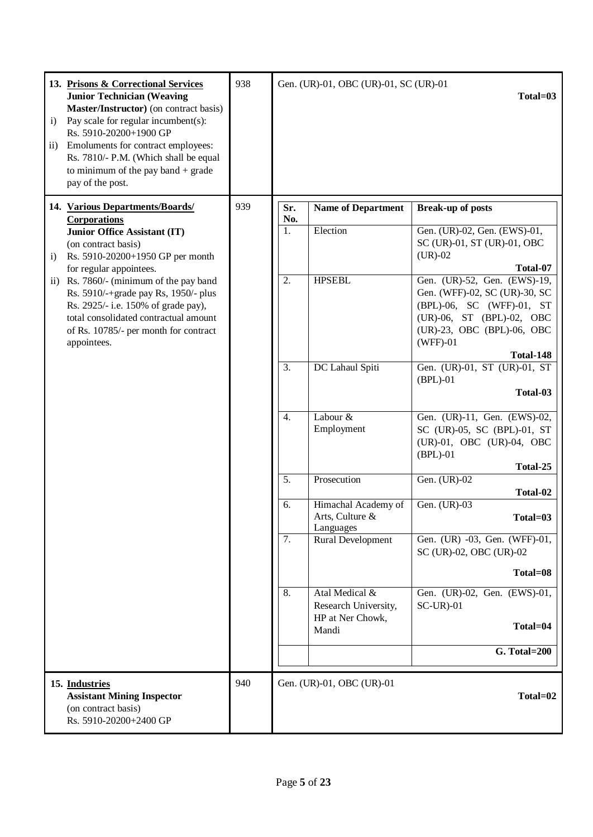| $\mathbf{i}$<br>$\mathbf{ii}$ | 13. Prisons & Correctional Services<br><b>Junior Technician (Weaving</b><br>Master/Instructor) (on contract basis)<br>Pay scale for regular incumbent(s):<br>Rs. 5910-20200+1900 GP<br>Emoluments for contract employees:<br>Rs. 7810/- P.M. (Which shall be equal<br>to minimum of the pay band $+$ grade<br>pay of the post. | 938<br>Gen. (UR)-01, OBC (UR)-01, SC (UR)-01<br>Total=03 |                  |                                                     |                                                                                                                                                                                  |  |  |  |  |  |  |  |  |  |  |  |  |  |    |                                                            |                                             |
|-------------------------------|--------------------------------------------------------------------------------------------------------------------------------------------------------------------------------------------------------------------------------------------------------------------------------------------------------------------------------|----------------------------------------------------------|------------------|-----------------------------------------------------|----------------------------------------------------------------------------------------------------------------------------------------------------------------------------------|--|--|--|--|--|--|--|--|--|--|--|--|--|----|------------------------------------------------------------|---------------------------------------------|
|                               | 14. Various Departments/Boards/<br>Corporations                                                                                                                                                                                                                                                                                | 939                                                      | Sr.<br>No.       | <b>Name of Department</b>                           | <b>Break-up of posts</b>                                                                                                                                                         |  |  |  |  |  |  |  |  |  |  |  |  |  |    |                                                            |                                             |
| $\mathbf{i}$                  | <b>Junior Office Assistant (IT)</b><br>(on contract basis)<br>Rs. 5910-20200+1950 GP per month<br>for regular appointees.                                                                                                                                                                                                      |                                                          | 1.               | Election                                            | Gen. (UR)-02, Gen. (EWS)-01,<br>SC (UR)-01, ST (UR)-01, OBC<br>$(UR)-02$<br>Total-07                                                                                             |  |  |  |  |  |  |  |  |  |  |  |  |  |    |                                                            |                                             |
| $\overline{11}$ )             | Rs. 7860/- (minimum of the pay band<br>Rs. 5910/-+grade pay Rs, 1950/- plus<br>Rs. 2925/- i.e. 150% of grade pay),<br>total consolidated contractual amount<br>of Rs. 10785/- per month for contract<br>appointees.                                                                                                            |                                                          | 2.               | <b>HPSEBL</b>                                       | Gen. (UR)-52, Gen. (EWS)-19,<br>Gen. (WFF)-02, SC (UR)-30, SC<br>(BPL)-06, SC (WFF)-01, ST<br>(UR)-06, ST (BPL)-02, OBC<br>(UR)-23, OBC (BPL)-06, OBC<br>$(WFF)-01$<br>Total-148 |  |  |  |  |  |  |  |  |  |  |  |  |  |    |                                                            |                                             |
|                               |                                                                                                                                                                                                                                                                                                                                |                                                          | $\overline{3}$ . | DC Lahaul Spiti                                     | Gen. (UR)-01, ST (UR)-01, ST<br>$(BPL)-01$<br>Total-03                                                                                                                           |  |  |  |  |  |  |  |  |  |  |  |  |  |    |                                                            |                                             |
|                               |                                                                                                                                                                                                                                                                                                                                |                                                          | 4.               | Labour &<br>Employment                              | Gen. (UR)-11, Gen. (EWS)-02,<br>SC (UR)-05, SC (BPL)-01, ST<br>(UR)-01, OBC (UR)-04, OBC<br>$(BPL)-01$                                                                           |  |  |  |  |  |  |  |  |  |  |  |  |  |    |                                                            |                                             |
|                               |                                                                                                                                                                                                                                                                                                                                |                                                          | 5.               | Prosecution                                         | Total-25<br>Gen. (UR)-02                                                                                                                                                         |  |  |  |  |  |  |  |  |  |  |  |  |  |    |                                                            |                                             |
|                               |                                                                                                                                                                                                                                                                                                                                |                                                          |                  |                                                     | Total-02                                                                                                                                                                         |  |  |  |  |  |  |  |  |  |  |  |  |  |    |                                                            |                                             |
|                               |                                                                                                                                                                                                                                                                                                                                |                                                          | 6.               | Himachal Academy of<br>Arts, Culture &<br>Languages | Gen. (UR)-03<br>Total=03                                                                                                                                                         |  |  |  |  |  |  |  |  |  |  |  |  |  |    |                                                            |                                             |
|                               |                                                                                                                                                                                                                                                                                                                                |                                                          | 7.               | Rural Development                                   | Gen. (UR) -03, Gen. (WFF)-01,<br>SC (UR)-02, OBC (UR)-02                                                                                                                         |  |  |  |  |  |  |  |  |  |  |  |  |  |    |                                                            |                                             |
|                               |                                                                                                                                                                                                                                                                                                                                |                                                          |                  |                                                     | Total=08                                                                                                                                                                         |  |  |  |  |  |  |  |  |  |  |  |  |  |    |                                                            |                                             |
|                               |                                                                                                                                                                                                                                                                                                                                |                                                          |                  |                                                     |                                                                                                                                                                                  |  |  |  |  |  |  |  |  |  |  |  |  |  | 8. | Atal Medical &<br>Research University,<br>HP at Ner Chowk, | Gen. (UR)-02, Gen. (EWS)-01,<br>$SC-UR$ -01 |
|                               |                                                                                                                                                                                                                                                                                                                                |                                                          |                  | Mandi                                               | Total=04                                                                                                                                                                         |  |  |  |  |  |  |  |  |  |  |  |  |  |    |                                                            |                                             |
|                               |                                                                                                                                                                                                                                                                                                                                |                                                          |                  |                                                     | $\overline{G}$ . Total=200                                                                                                                                                       |  |  |  |  |  |  |  |  |  |  |  |  |  |    |                                                            |                                             |
|                               | 15. Industries<br><b>Assistant Mining Inspector</b><br>(on contract basis)<br>Rs. 5910-20200+2400 GP                                                                                                                                                                                                                           | 940                                                      |                  | Gen. (UR)-01, OBC (UR)-01                           | Total=02                                                                                                                                                                         |  |  |  |  |  |  |  |  |  |  |  |  |  |    |                                                            |                                             |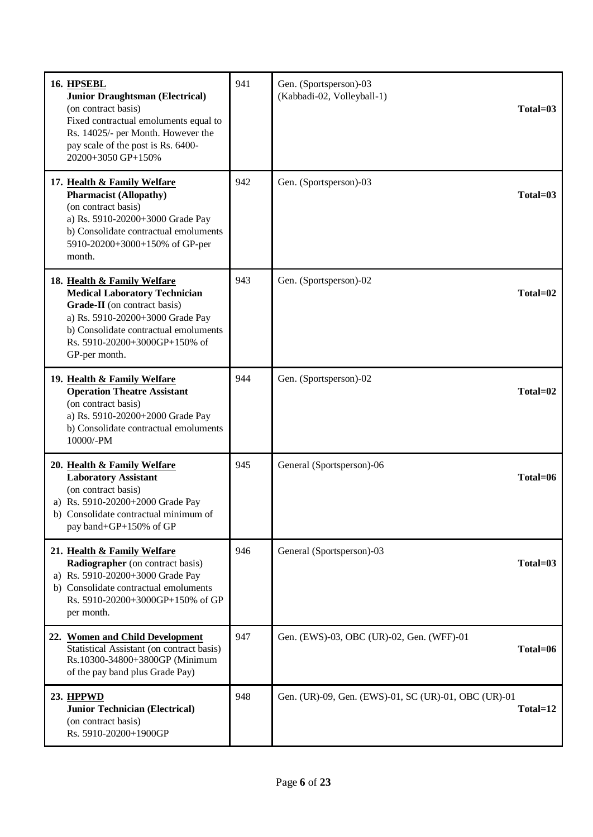| 16. HPSEBL<br><b>Junior Draughtsman (Electrical)</b><br>(on contract basis)<br>Fixed contractual emoluments equal to<br>Rs. 14025/- per Month. However the<br>pay scale of the post is Rs. 6400-<br>20200+3050 GP+150%             | 941 | Gen. (Sportsperson)-03<br>(Kabbadi-02, Volleyball-1) | $Total=03$   |
|------------------------------------------------------------------------------------------------------------------------------------------------------------------------------------------------------------------------------------|-----|------------------------------------------------------|--------------|
| 17. Health & Family Welfare<br><b>Pharmacist (Allopathy)</b><br>(on contract basis)<br>a) Rs. 5910-20200+3000 Grade Pay<br>b) Consolidate contractual emoluments<br>5910-20200+3000+150% of GP-per<br>month.                       | 942 | Gen. (Sportsperson)-03                               | $Total=03$   |
| 18. Health & Family Welfare<br><b>Medical Laboratory Technician</b><br>Grade-II (on contract basis)<br>a) Rs. 5910-20200+3000 Grade Pay<br>b) Consolidate contractual emoluments<br>Rs. 5910-20200+3000GP+150% of<br>GP-per month. | 943 | Gen. (Sportsperson)-02                               | Total=02     |
| 19. Health & Family Welfare<br><b>Operation Theatre Assistant</b><br>(on contract basis)<br>a) Rs. 5910-20200+2000 Grade Pay<br>b) Consolidate contractual emoluments<br>10000/-PM                                                 | 944 | Gen. (Sportsperson)-02                               | Total=02     |
| 20. Health & Family Welfare<br><b>Laboratory Assistant</b><br>(on contract basis)<br>a) Rs. 5910-20200+2000 Grade Pay<br>b) Consolidate contractual minimum of<br>pay band+GP+150% of GP                                           | 945 | General (Sportsperson)-06                            | Total=06     |
| 21. Health & Family Welfare<br><b>Radiographer</b> (on contract basis)<br>a) Rs. 5910-20200+3000 Grade Pay<br>b) Consolidate contractual emoluments<br>Rs. 5910-20200+3000GP+150% of GP<br>per month.                              | 946 | General (Sportsperson)-03                            | $Total = 03$ |
| 22. Women and Child Development<br>Statistical Assistant (on contract basis)<br>Rs.10300-34800+3800GP (Minimum<br>of the pay band plus Grade Pay)                                                                                  | 947 | Gen. (EWS)-03, OBC (UR)-02, Gen. (WFF)-01            | Total=06     |
| 23. HPPWD<br><b>Junior Technician (Electrical)</b><br>(on contract basis)<br>Rs. 5910-20200+1900GP                                                                                                                                 | 948 | Gen. (UR)-09, Gen. (EWS)-01, SC (UR)-01, OBC (UR)-01 | $Total=12$   |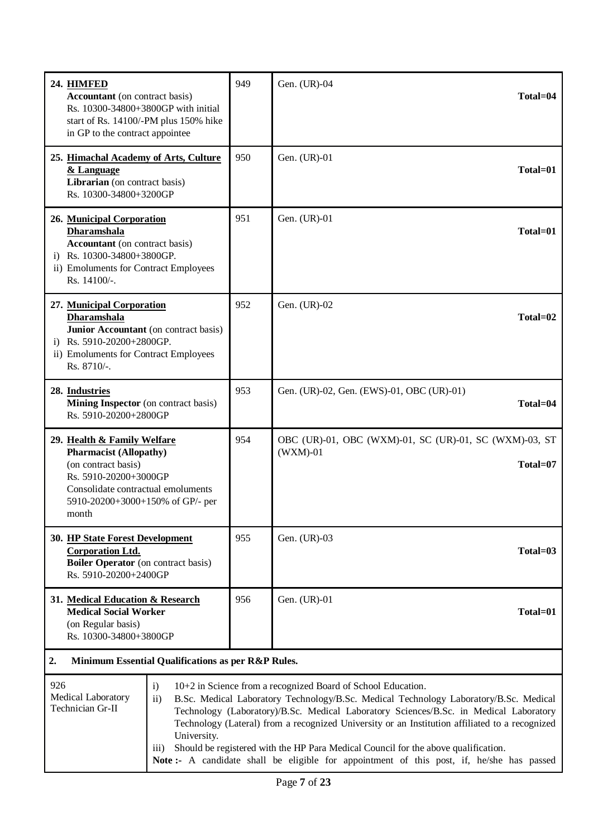| 24. HIMFED<br><b>Accountant</b> (on contract basis)<br>Rs. 10300-34800+3800GP with initial<br>start of Rs. 14100/-PM plus 150% hike<br>in GP to the contract appointee                                                                                                                                                                                                                                                                                                                                                                                                                                                                       | 949 | Gen. (UR)-04<br>Total=04                                                         |
|----------------------------------------------------------------------------------------------------------------------------------------------------------------------------------------------------------------------------------------------------------------------------------------------------------------------------------------------------------------------------------------------------------------------------------------------------------------------------------------------------------------------------------------------------------------------------------------------------------------------------------------------|-----|----------------------------------------------------------------------------------|
| 25. Himachal Academy of Arts, Culture<br>& Language<br>Librarian (on contract basis)<br>Rs. 10300-34800+3200GP                                                                                                                                                                                                                                                                                                                                                                                                                                                                                                                               | 950 | Gen. (UR)-01<br>Total=01                                                         |
| 26. Municipal Corporation<br><b>Dharamshala</b><br><b>Accountant</b> (on contract basis)<br>i) Rs. 10300-34800+3800GP.<br>ii) Emoluments for Contract Employees<br>Rs. 14100/-.                                                                                                                                                                                                                                                                                                                                                                                                                                                              | 951 | Gen. (UR)-01<br>Total=01                                                         |
| 27. Municipal Corporation<br><b>Dharamshala</b><br>Junior Accountant (on contract basis)<br>i) Rs. $5910 - 20200 + 2800$ GP.<br>ii) Emoluments for Contract Employees<br>Rs. 8710/-.                                                                                                                                                                                                                                                                                                                                                                                                                                                         | 952 | Gen. (UR)-02<br>Total=02                                                         |
| 28. Industries<br>Mining Inspector (on contract basis)<br>Rs. 5910-20200+2800GP                                                                                                                                                                                                                                                                                                                                                                                                                                                                                                                                                              | 953 | Gen. (UR)-02, Gen. (EWS)-01, OBC (UR)-01)<br>Total=04                            |
| 29. Health & Family Welfare<br><b>Pharmacist (Allopathy)</b><br>(on contract basis)<br>Rs. 5910-20200+3000GP<br>Consolidate contractual emoluments<br>5910-20200+3000+150% of GP/- per<br>month                                                                                                                                                                                                                                                                                                                                                                                                                                              | 954 | OBC (UR)-01, OBC (WXM)-01, SC (UR)-01, SC (WXM)-03, ST<br>$(WXM)-01$<br>Total=07 |
| 30. HP State Forest Development<br><b>Corporation Ltd.</b><br><b>Boiler Operator</b> (on contract basis)<br>Rs. 5910-20200+2400GP                                                                                                                                                                                                                                                                                                                                                                                                                                                                                                            | 955 | Gen. (UR)-03<br>$Total=03$                                                       |
| 31. Medical Education & Research<br><b>Medical Social Worker</b><br>(on Regular basis)<br>Rs. 10300-34800+3800GP                                                                                                                                                                                                                                                                                                                                                                                                                                                                                                                             | 956 | Gen. (UR)-01<br>Total=01                                                         |
| Minimum Essential Qualifications as per R&P Rules.<br>2.                                                                                                                                                                                                                                                                                                                                                                                                                                                                                                                                                                                     |     |                                                                                  |
| 926<br>10+2 in Science from a recognized Board of School Education.<br>$\mathbf{i}$<br>Medical Laboratory<br>$\mathbf{ii}$<br>B.Sc. Medical Laboratory Technology/B.Sc. Medical Technology Laboratory/B.Sc. Medical<br>Technician Gr-II<br>Technology (Laboratory)/B.Sc. Medical Laboratory Sciences/B.Sc. in Medical Laboratory<br>Technology (Lateral) from a recognized University or an Institution affiliated to a recognized<br>University.<br>Should be registered with the HP Para Medical Council for the above qualification.<br>(111)<br>Note:- A candidate shall be eligible for appointment of this post, if, he/she has passed |     |                                                                                  |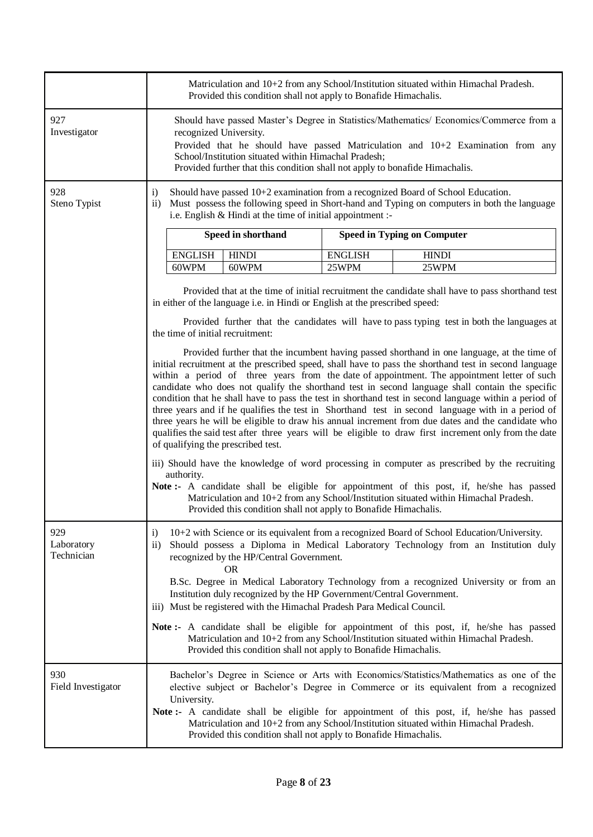|                                 | Matriculation and 10+2 from any School/Institution situated within Himachal Pradesh.<br>Provided this condition shall not apply to Bonafide Himachalis.                                                                                                                                                                                                                                                                                                                                                                                                                                                                                                                                                                                                                                                                                                                                                                                                                                                                                                                                                                                                                     |                |                                                                                                                                                                                                 |  |
|---------------------------------|-----------------------------------------------------------------------------------------------------------------------------------------------------------------------------------------------------------------------------------------------------------------------------------------------------------------------------------------------------------------------------------------------------------------------------------------------------------------------------------------------------------------------------------------------------------------------------------------------------------------------------------------------------------------------------------------------------------------------------------------------------------------------------------------------------------------------------------------------------------------------------------------------------------------------------------------------------------------------------------------------------------------------------------------------------------------------------------------------------------------------------------------------------------------------------|----------------|-------------------------------------------------------------------------------------------------------------------------------------------------------------------------------------------------|--|
| 927<br>Investigator             | Should have passed Master's Degree in Statistics/Mathematics/ Economics/Commerce from a<br>recognized University.<br>Provided that he should have passed Matriculation and $10+2$ Examination from any<br>School/Institution situated within Himachal Pradesh;<br>Provided further that this condition shall not apply to bonafide Himachalis.                                                                                                                                                                                                                                                                                                                                                                                                                                                                                                                                                                                                                                                                                                                                                                                                                              |                |                                                                                                                                                                                                 |  |
| 928<br>Steno Typist             | Should have passed $10+2$ examination from a recognized Board of School Education.<br>$\mathbf{i}$<br>Must possess the following speed in Short-hand and Typing on computers in both the language<br>$\mathbf{ii}$<br>i.e. English & Hindi at the time of initial appointment :-                                                                                                                                                                                                                                                                                                                                                                                                                                                                                                                                                                                                                                                                                                                                                                                                                                                                                            |                |                                                                                                                                                                                                 |  |
|                                 | Speed in shorthand                                                                                                                                                                                                                                                                                                                                                                                                                                                                                                                                                                                                                                                                                                                                                                                                                                                                                                                                                                                                                                                                                                                                                          |                | <b>Speed in Typing on Computer</b>                                                                                                                                                              |  |
|                                 | <b>ENGLISH</b><br><b>HINDI</b>                                                                                                                                                                                                                                                                                                                                                                                                                                                                                                                                                                                                                                                                                                                                                                                                                                                                                                                                                                                                                                                                                                                                              | <b>ENGLISH</b> | <b>HINDI</b>                                                                                                                                                                                    |  |
|                                 | 60WPM<br>60WPM                                                                                                                                                                                                                                                                                                                                                                                                                                                                                                                                                                                                                                                                                                                                                                                                                                                                                                                                                                                                                                                                                                                                                              | 25WPM          | 25WPM                                                                                                                                                                                           |  |
|                                 | in either of the language i.e. in Hindi or English at the prescribed speed:<br>the time of initial recruitment:                                                                                                                                                                                                                                                                                                                                                                                                                                                                                                                                                                                                                                                                                                                                                                                                                                                                                                                                                                                                                                                             |                | Provided that at the time of initial recruitment the candidate shall have to pass shorthand test<br>Provided further that the candidates will have to pass typing test in both the languages at |  |
|                                 | Provided further that the incumbent having passed shorthand in one language, at the time of<br>initial recruitment at the prescribed speed, shall have to pass the shorthand test in second language<br>within a period of three years from the date of appointment. The appointment letter of such<br>candidate who does not qualify the shorthand test in second language shall contain the specific<br>condition that he shall have to pass the test in shorthand test in second language within a period of<br>three years and if he qualifies the test in Shorthand test in second language with in a period of<br>three years he will be eligible to draw his annual increment from due dates and the candidate who<br>qualifies the said test after three years will be eligible to draw first increment only from the date<br>of qualifying the prescribed test.<br>iii) Should have the knowledge of word processing in computer as prescribed by the recruiting<br>authority.<br>Note:- A candidate shall be eligible for appointment of this post, if, he/she has passed<br>Matriculation and 10+2 from any School/Institution situated within Himachal Pradesh. |                |                                                                                                                                                                                                 |  |
|                                 | Provided this condition shall not apply to Bonafide Himachalis.                                                                                                                                                                                                                                                                                                                                                                                                                                                                                                                                                                                                                                                                                                                                                                                                                                                                                                                                                                                                                                                                                                             |                |                                                                                                                                                                                                 |  |
| 929<br>Laboratory<br>Technician | 10+2 with Science or its equivalent from a recognized Board of School Education/University.<br>$\mathbf{i}$<br>Should possess a Diploma in Medical Laboratory Technology from an Institution duly<br>$\mathbf{ii}$<br>recognized by the HP/Central Government.<br><b>OR</b><br>B.Sc. Degree in Medical Laboratory Technology from a recognized University or from an<br>Institution duly recognized by the HP Government/Central Government.<br>iii) Must be registered with the Himachal Pradesh Para Medical Council.                                                                                                                                                                                                                                                                                                                                                                                                                                                                                                                                                                                                                                                     |                |                                                                                                                                                                                                 |  |
|                                 | <b>Note:</b> A candidate shall be eligible for appointment of this post, if, he/she has passed<br>Provided this condition shall not apply to Bonafide Himachalis.                                                                                                                                                                                                                                                                                                                                                                                                                                                                                                                                                                                                                                                                                                                                                                                                                                                                                                                                                                                                           |                | Matriculation and 10+2 from any School/Institution situated within Himachal Pradesh.                                                                                                            |  |
| 930<br>Field Investigator       | Bachelor's Degree in Science or Arts with Economics/Statistics/Mathematics as one of the<br>elective subject or Bachelor's Degree in Commerce or its equivalent from a recognized<br>University.<br>Note:- A candidate shall be eligible for appointment of this post, if, he/she has passed<br>Matriculation and 10+2 from any School/Institution situated within Himachal Pradesh.<br>Provided this condition shall not apply to Bonafide Himachalis.                                                                                                                                                                                                                                                                                                                                                                                                                                                                                                                                                                                                                                                                                                                     |                |                                                                                                                                                                                                 |  |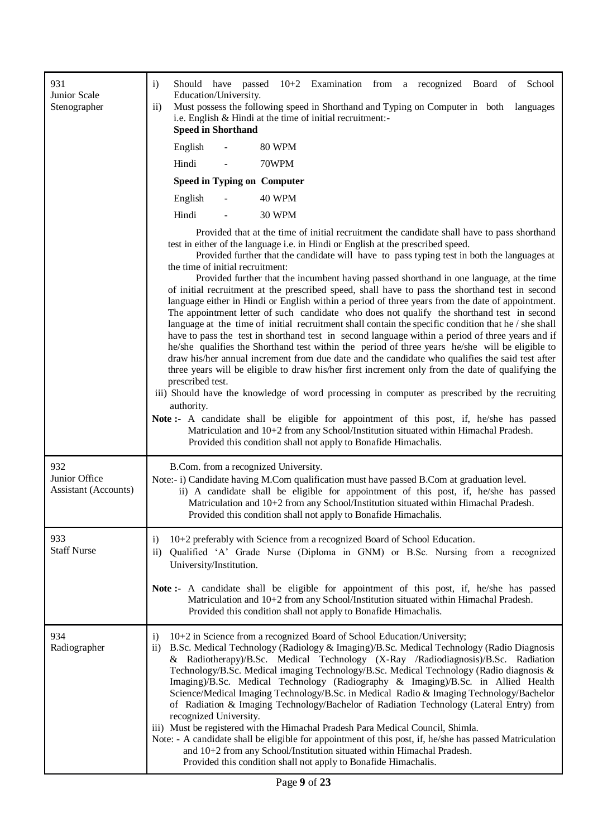| 931<br>Junior Scale<br>Stenographer          | $\mathbf{i}$<br>Should have passed $10+2$ Examination from a recognized Board of School<br>Education/University.<br>Must possess the following speed in Shorthand and Typing on Computer in both languages<br>$\mathbf{ii}$<br>i.e. English & Hindi at the time of initial recruitment:-<br><b>Speed in Shorthand</b>                                                                                                                                                                                                                                                                                                                                                                                                                                                                                                                                                                                                                                                                                                                                                                                                                                                                                                                                                                                                                                                                                                                                                                                                                                                                                                                 |
|----------------------------------------------|---------------------------------------------------------------------------------------------------------------------------------------------------------------------------------------------------------------------------------------------------------------------------------------------------------------------------------------------------------------------------------------------------------------------------------------------------------------------------------------------------------------------------------------------------------------------------------------------------------------------------------------------------------------------------------------------------------------------------------------------------------------------------------------------------------------------------------------------------------------------------------------------------------------------------------------------------------------------------------------------------------------------------------------------------------------------------------------------------------------------------------------------------------------------------------------------------------------------------------------------------------------------------------------------------------------------------------------------------------------------------------------------------------------------------------------------------------------------------------------------------------------------------------------------------------------------------------------------------------------------------------------|
|                                              | English<br><b>80 WPM</b>                                                                                                                                                                                                                                                                                                                                                                                                                                                                                                                                                                                                                                                                                                                                                                                                                                                                                                                                                                                                                                                                                                                                                                                                                                                                                                                                                                                                                                                                                                                                                                                                              |
|                                              | Hindi<br>70WPM                                                                                                                                                                                                                                                                                                                                                                                                                                                                                                                                                                                                                                                                                                                                                                                                                                                                                                                                                                                                                                                                                                                                                                                                                                                                                                                                                                                                                                                                                                                                                                                                                        |
|                                              | <b>Speed in Typing on Computer</b>                                                                                                                                                                                                                                                                                                                                                                                                                                                                                                                                                                                                                                                                                                                                                                                                                                                                                                                                                                                                                                                                                                                                                                                                                                                                                                                                                                                                                                                                                                                                                                                                    |
|                                              | English<br><b>40 WPM</b>                                                                                                                                                                                                                                                                                                                                                                                                                                                                                                                                                                                                                                                                                                                                                                                                                                                                                                                                                                                                                                                                                                                                                                                                                                                                                                                                                                                                                                                                                                                                                                                                              |
|                                              | Hindi<br><b>30 WPM</b>                                                                                                                                                                                                                                                                                                                                                                                                                                                                                                                                                                                                                                                                                                                                                                                                                                                                                                                                                                                                                                                                                                                                                                                                                                                                                                                                                                                                                                                                                                                                                                                                                |
|                                              | Provided that at the time of initial recruitment the candidate shall have to pass shorthand<br>test in either of the language i.e. in Hindi or English at the prescribed speed.<br>Provided further that the candidate will have to pass typing test in both the languages at<br>the time of initial recruitment:<br>Provided further that the incumbent having passed shorthand in one language, at the time<br>of initial recruitment at the prescribed speed, shall have to pass the shorthand test in second<br>language either in Hindi or English within a period of three years from the date of appointment.<br>The appointment letter of such candidate who does not qualify the shorthand test in second<br>language at the time of initial recruitment shall contain the specific condition that he $/$ she shall<br>have to pass the test in shorthand test in second language within a period of three years and if<br>he/she qualifies the Shorthand test within the period of three years he/she will be eligible to<br>draw his/her annual increment from due date and the candidate who qualifies the said test after<br>three years will be eligible to draw his/her first increment only from the date of qualifying the<br>prescribed test.<br>iii) Should have the knowledge of word processing in computer as prescribed by the recruiting<br>authority.<br>Note:- A candidate shall be eligible for appointment of this post, if, he/she has passed<br>Matriculation and 10+2 from any School/Institution situated within Himachal Pradesh.<br>Provided this condition shall not apply to Bonafide Himachalis. |
| 932<br>Junior Office<br>Assistant (Accounts) | B.Com. from a recognized University.<br>Note:- i) Candidate having M.Com qualification must have passed B.Com at graduation level.<br>ii) A candidate shall be eligible for appointment of this post, if, he/she has passed<br>Matriculation and 10+2 from any School/Institution situated within Himachal Pradesh.<br>Provided this condition shall not apply to Bonafide Himachalis.                                                                                                                                                                                                                                                                                                                                                                                                                                                                                                                                                                                                                                                                                                                                                                                                                                                                                                                                                                                                                                                                                                                                                                                                                                                |
| 933<br><b>Staff Nurse</b>                    | 10+2 preferably with Science from a recognized Board of School Education.<br>$\mathbf{i}$<br>Qualified 'A' Grade Nurse (Diploma in GNM) or B.Sc. Nursing from a recognized<br>$\rm ii)$<br>University/Institution.<br>Note:- A candidate shall be eligible for appointment of this post, if, he/she has passed                                                                                                                                                                                                                                                                                                                                                                                                                                                                                                                                                                                                                                                                                                                                                                                                                                                                                                                                                                                                                                                                                                                                                                                                                                                                                                                        |
|                                              | Matriculation and 10+2 from any School/Institution situated within Himachal Pradesh.<br>Provided this condition shall not apply to Bonafide Himachalis.                                                                                                                                                                                                                                                                                                                                                                                                                                                                                                                                                                                                                                                                                                                                                                                                                                                                                                                                                                                                                                                                                                                                                                                                                                                                                                                                                                                                                                                                               |
| 934<br>Radiographer                          | 10+2 in Science from a recognized Board of School Education/University;<br>$\mathbf{i}$<br>B.Sc. Medical Technology (Radiology & Imaging)/B.Sc. Medical Technology (Radio Diagnosis<br>$\rm ii)$<br>& Radiotherapy)/B.Sc. Medical Technology (X-Ray /Radiodiagnosis)/B.Sc. Radiation<br>Technology/B.Sc. Medical imaging Technology/B.Sc. Medical Technology (Radio diagnosis &<br>Imaging)/B.Sc. Medical Technology (Radiography & Imaging)/B.Sc. in Allied Health<br>Science/Medical Imaging Technology/B.Sc. in Medical Radio & Imaging Technology/Bachelor<br>of Radiation & Imaging Technology/Bachelor of Radiation Technology (Lateral Entry) from<br>recognized University.<br>iii) Must be registered with the Himachal Pradesh Para Medical Council, Shimla.<br>Note: - A candidate shall be eligible for appointment of this post, if, he/she has passed Matriculation<br>and 10+2 from any School/Institution situated within Himachal Pradesh.<br>Provided this condition shall not apply to Bonafide Himachalis.                                                                                                                                                                                                                                                                                                                                                                                                                                                                                                                                                                                                        |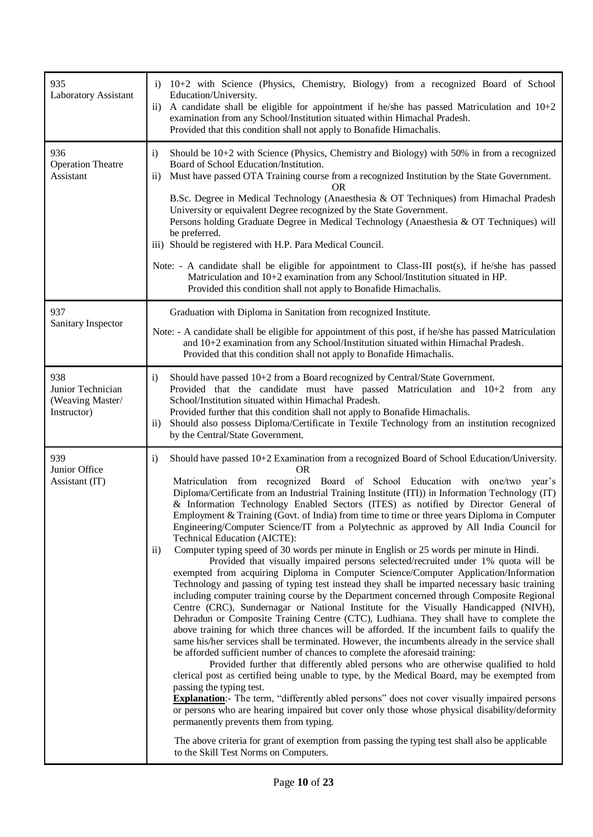| 935<br>Laboratory Assistant                                 | $10+2$ with Science (Physics, Chemistry, Biology) from a recognized Board of School<br>$\mathbf{i}$<br>Education/University.<br>A candidate shall be eligible for appointment if he/she has passed Matriculation and $10+2$<br>$\rm ii)$<br>examination from any School/Institution situated within Himachal Pradesh.<br>Provided that this condition shall not apply to Bonafide Himachalis.                                                                                                                                                                                                                                                                                                                                                                                                                                                                                                                                                                                                                                                                                                                                                                                                                                                                                                                                                                                                                                                                                                                                                                                                                                                                                                                                                                                                                                                                                                                                                                                                                                                                                                                                                                                                       |
|-------------------------------------------------------------|-----------------------------------------------------------------------------------------------------------------------------------------------------------------------------------------------------------------------------------------------------------------------------------------------------------------------------------------------------------------------------------------------------------------------------------------------------------------------------------------------------------------------------------------------------------------------------------------------------------------------------------------------------------------------------------------------------------------------------------------------------------------------------------------------------------------------------------------------------------------------------------------------------------------------------------------------------------------------------------------------------------------------------------------------------------------------------------------------------------------------------------------------------------------------------------------------------------------------------------------------------------------------------------------------------------------------------------------------------------------------------------------------------------------------------------------------------------------------------------------------------------------------------------------------------------------------------------------------------------------------------------------------------------------------------------------------------------------------------------------------------------------------------------------------------------------------------------------------------------------------------------------------------------------------------------------------------------------------------------------------------------------------------------------------------------------------------------------------------------------------------------------------------------------------------------------------------|
| 936<br><b>Operation Theatre</b><br>Assistant                | Should be $10+2$ with Science (Physics, Chemistry and Biology) with 50% in from a recognized<br>$\mathbf{i}$<br>Board of School Education/Institution.<br>Must have passed OTA Training course from a recognized Institution by the State Government.<br>$\rm ii)$<br><b>OR</b><br>B.Sc. Degree in Medical Technology (Anaesthesia & OT Techniques) from Himachal Pradesh<br>University or equivalent Degree recognized by the State Government.<br>Persons holding Graduate Degree in Medical Technology (Anaesthesia & OT Techniques) will<br>be preferred.<br>iii) Should be registered with H.P. Para Medical Council.                                                                                                                                                                                                                                                                                                                                                                                                                                                                                                                                                                                                                                                                                                                                                                                                                                                                                                                                                                                                                                                                                                                                                                                                                                                                                                                                                                                                                                                                                                                                                                          |
|                                                             | Note: - A candidate shall be eligible for appointment to Class-III post(s), if he/she has passed<br>Matriculation and 10+2 examination from any School/Institution situated in HP.<br>Provided this condition shall not apply to Bonafide Himachalis.                                                                                                                                                                                                                                                                                                                                                                                                                                                                                                                                                                                                                                                                                                                                                                                                                                                                                                                                                                                                                                                                                                                                                                                                                                                                                                                                                                                                                                                                                                                                                                                                                                                                                                                                                                                                                                                                                                                                               |
| 937<br>Sanitary Inspector                                   | Graduation with Diploma in Sanitation from recognized Institute.<br>Note: - A candidate shall be eligible for appointment of this post, if he/she has passed Matriculation<br>and 10+2 examination from any School/Institution situated within Himachal Pradesh.<br>Provided that this condition shall not apply to Bonafide Himachalis.                                                                                                                                                                                                                                                                                                                                                                                                                                                                                                                                                                                                                                                                                                                                                                                                                                                                                                                                                                                                                                                                                                                                                                                                                                                                                                                                                                                                                                                                                                                                                                                                                                                                                                                                                                                                                                                            |
| 938<br>Junior Technician<br>(Weaving Master/<br>Instructor) | Should have passed 10+2 from a Board recognized by Central/State Government.<br>$\mathbf{i}$<br>Provided that the candidate must have passed Matriculation and $10+2$ from any<br>School/Institution situated within Himachal Pradesh.<br>Provided further that this condition shall not apply to Bonafide Himachalis.<br>Should also possess Diploma/Certificate in Textile Technology from an institution recognized<br>$\rm ii)$<br>by the Central/State Government.                                                                                                                                                                                                                                                                                                                                                                                                                                                                                                                                                                                                                                                                                                                                                                                                                                                                                                                                                                                                                                                                                                                                                                                                                                                                                                                                                                                                                                                                                                                                                                                                                                                                                                                             |
| 939<br>Junior Office<br>Assistant (IT)                      | $\mathbf{i}$<br>Should have passed 10+2 Examination from a recognized Board of School Education/University.<br>OR.<br>Matriculation from recognized Board of School Education with one/two year's<br>Diploma/Certificate from an Industrial Training Institute (ITI)) in Information Technology (IT)<br>& Information Technology Enabled Sectors (ITES) as notified by Director General of<br>Employment & Training (Govt. of India) from time to time or three years Diploma in Computer<br>Engineering/Computer Science/IT from a Polytechnic as approved by All India Council for<br>Technical Education (AICTE):<br>Computer typing speed of 30 words per minute in English or 25 words per minute in Hindi.<br>$\mathbf{ii}$<br>Provided that visually impaired persons selected/recruited under 1% quota will be<br>exempted from acquiring Diploma in Computer Science/Computer Application/Information<br>Technology and passing of typing test instead they shall be imparted necessary basic training<br>including computer training course by the Department concerned through Composite Regional<br>Centre (CRC), Sundernagar or National Institute for the Visually Handicapped (NIVH),<br>Dehradun or Composite Training Centre (CTC), Ludhiana. They shall have to complete the<br>above training for which three chances will be afforded. If the incumbent fails to qualify the<br>same his/her services shall be terminated. However, the incumbents already in the service shall<br>be afforded sufficient number of chances to complete the aforesaid training:<br>Provided further that differently abled persons who are otherwise qualified to hold<br>clerical post as certified being unable to type, by the Medical Board, may be exempted from<br>passing the typing test.<br><b>Explanation:</b> - The term, "differently abled persons" does not cover visually impaired persons<br>or persons who are hearing impaired but cover only those whose physical disability/deformity<br>permanently prevents them from typing.<br>The above criteria for grant of exemption from passing the typing test shall also be applicable<br>to the Skill Test Norms on Computers. |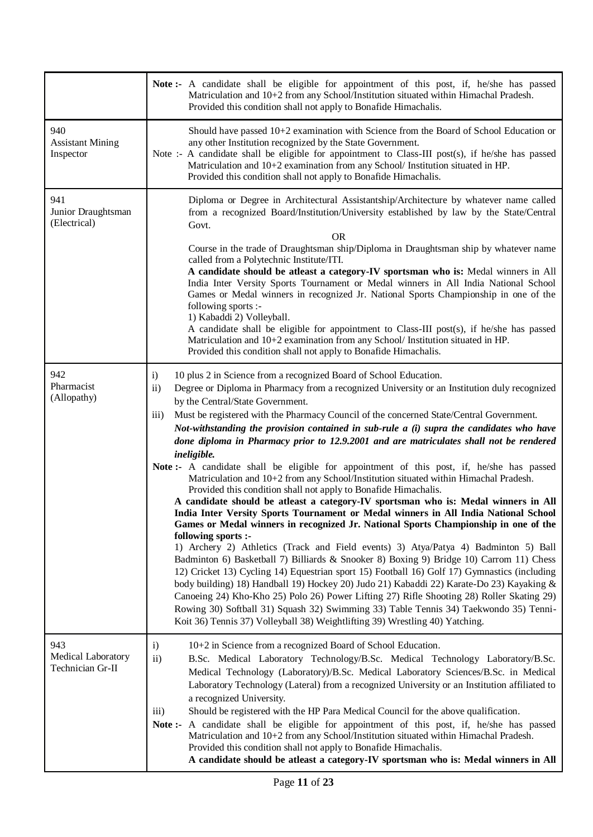|                                               | <b>Note:</b> A candidate shall be eligible for appointment of this post, if, he/she has passed<br>Matriculation and 10+2 from any School/Institution situated within Himachal Pradesh.<br>Provided this condition shall not apply to Bonafide Himachalis.                                                                                                                                                                                                                                                                                                                                                                                                                                                                                                                                                                                                                                                                                                                                                                                                                                                                                                                                                                                                                                                                                                                                                                                                                                                                                                                                                                                                                                                                                                      |
|-----------------------------------------------|----------------------------------------------------------------------------------------------------------------------------------------------------------------------------------------------------------------------------------------------------------------------------------------------------------------------------------------------------------------------------------------------------------------------------------------------------------------------------------------------------------------------------------------------------------------------------------------------------------------------------------------------------------------------------------------------------------------------------------------------------------------------------------------------------------------------------------------------------------------------------------------------------------------------------------------------------------------------------------------------------------------------------------------------------------------------------------------------------------------------------------------------------------------------------------------------------------------------------------------------------------------------------------------------------------------------------------------------------------------------------------------------------------------------------------------------------------------------------------------------------------------------------------------------------------------------------------------------------------------------------------------------------------------------------------------------------------------------------------------------------------------|
| 940<br><b>Assistant Mining</b><br>Inspector   | Should have passed 10+2 examination with Science from the Board of School Education or<br>any other Institution recognized by the State Government.<br>Note :- A candidate shall be eligible for appointment to Class-III post(s), if he/she has passed<br>Matriculation and 10+2 examination from any School/ Institution situated in HP.<br>Provided this condition shall not apply to Bonafide Himachalis.                                                                                                                                                                                                                                                                                                                                                                                                                                                                                                                                                                                                                                                                                                                                                                                                                                                                                                                                                                                                                                                                                                                                                                                                                                                                                                                                                  |
| 941<br>Junior Draughtsman<br>(Electrical)     | Diploma or Degree in Architectural Assistantship/Architecture by whatever name called<br>from a recognized Board/Institution/University established by law by the State/Central<br>Govt.<br><b>OR</b><br>Course in the trade of Draughtsman ship/Diploma in Draughtsman ship by whatever name<br>called from a Polytechnic Institute/ITI.<br>A candidate should be atleast a category-IV sportsman who is: Medal winners in All<br>India Inter Versity Sports Tournament or Medal winners in All India National School<br>Games or Medal winners in recognized Jr. National Sports Championship in one of the<br>following sports :-<br>1) Kabaddi 2) Volleyball.<br>A candidate shall be eligible for appointment to Class-III post(s), if he/she has passed<br>Matriculation and 10+2 examination from any School/ Institution situated in HP.<br>Provided this condition shall not apply to Bonafide Himachalis.                                                                                                                                                                                                                                                                                                                                                                                                                                                                                                                                                                                                                                                                                                                                                                                                                                            |
| 942<br>Pharmacist<br>(Allopathy)              | $\mathbf{i}$<br>10 plus 2 in Science from a recognized Board of School Education.<br>Degree or Diploma in Pharmacy from a recognized University or an Institution duly recognized<br>$\rm ii)$<br>by the Central/State Government.<br>Must be registered with the Pharmacy Council of the concerned State/Central Government.<br>$\overline{iii}$<br>Not-withstanding the provision contained in sub-rule $a$ (i) supra the candidates who have<br>done diploma in Pharmacy prior to 12.9.2001 and are matriculates shall not be rendered<br>ineligible.<br>Note:- A candidate shall be eligible for appointment of this post, if, he/she has passed<br>Matriculation and 10+2 from any School/Institution situated within Himachal Pradesh.<br>Provided this condition shall not apply to Bonafide Himachalis.<br>A candidate should be atleast a category-IV sportsman who is: Medal winners in All<br>India Inter Versity Sports Tournament or Medal winners in All India National School<br>Games or Medal winners in recognized Jr. National Sports Championship in one of the<br>following sports :-<br>1) Archery 2) Athletics (Track and Field events) 3) Atya/Patya 4) Badminton 5) Ball<br>Badminton 6) Basketball 7) Billiards & Snooker 8) Boxing 9) Bridge 10) Carrom 11) Chess<br>12) Cricket 13) Cycling 14) Equestrian sport 15) Football 16) Golf 17) Gymnastics (including<br>body building) 18) Handball 19) Hockey 20) Judo 21) Kabaddi 22) Karate-Do 23) Kayaking &<br>Canoeing 24) Kho-Kho 25) Polo 26) Power Lifting 27) Rifle Shooting 28) Roller Skating 29)<br>Rowing 30) Softball 31) Squash 32) Swimming 33) Table Tennis 34) Taekwondo 35) Tenni-<br>Koit 36) Tennis 37) Volleyball 38) Weightlifting 39) Wrestling 40) Yatching. |
| 943<br>Medical Laboratory<br>Technician Gr-II | $\mathbf{i}$<br>10+2 in Science from a recognized Board of School Education.<br>$\mathbf{ii}$<br>B.Sc. Medical Laboratory Technology/B.Sc. Medical Technology Laboratory/B.Sc.<br>Medical Technology (Laboratory)/B.Sc. Medical Laboratory Sciences/B.Sc. in Medical<br>Laboratory Technology (Lateral) from a recognized University or an Institution affiliated to<br>a recognized University.<br>iii)<br>Should be registered with the HP Para Medical Council for the above qualification.<br>A candidate shall be eligible for appointment of this post, if, he/she has passed<br>Note $:$<br>Matriculation and 10+2 from any School/Institution situated within Himachal Pradesh.<br>Provided this condition shall not apply to Bonafide Himachalis.<br>A candidate should be atleast a category-IV sportsman who is: Medal winners in All                                                                                                                                                                                                                                                                                                                                                                                                                                                                                                                                                                                                                                                                                                                                                                                                                                                                                                               |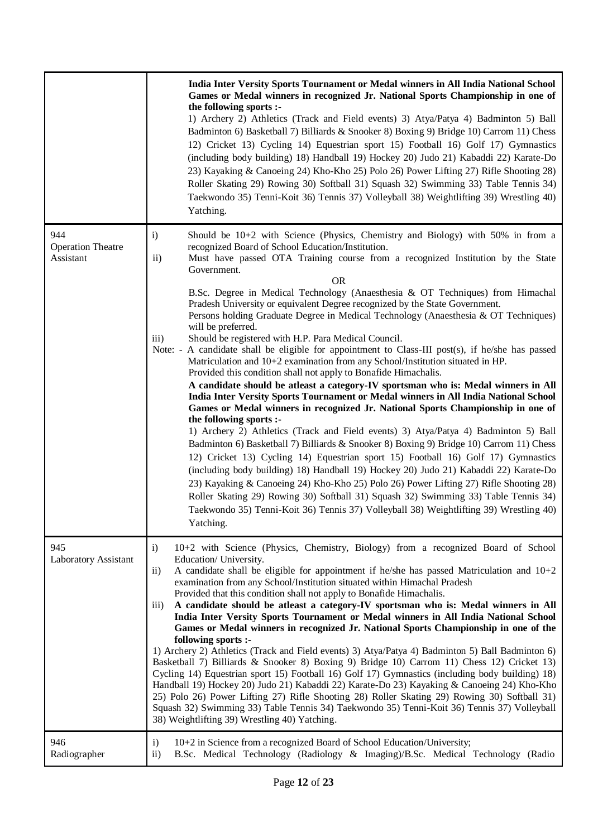|                                              | India Inter Versity Sports Tournament or Medal winners in All India National School<br>Games or Medal winners in recognized Jr. National Sports Championship in one of<br>the following sports :-<br>1) Archery 2) Athletics (Track and Field events) 3) Atya/Patya 4) Badminton 5) Ball<br>Badminton 6) Basketball 7) Billiards & Snooker 8) Boxing 9) Bridge 10) Carrom 11) Chess<br>12) Cricket 13) Cycling 14) Equestrian sport 15) Football 16) Golf 17) Gymnastics<br>(including body building) 18) Handball 19) Hockey 20) Judo 21) Kabaddi 22) Karate-Do<br>23) Kayaking & Canoeing 24) Kho-Kho 25) Polo 26) Power Lifting 27) Rifle Shooting 28)<br>Roller Skating 29) Rowing 30) Softball 31) Squash 32) Swimming 33) Table Tennis 34)<br>Taekwondo 35) Tenni-Koit 36) Tennis 37) Volleyball 38) Weightlifting 39) Wrestling 40)<br>Yatching.                                                                                                                                                                                                                                                                                                                                                                                                                                                                                                                                                                                                                                                                                                                                                                                                                                                                                                                                                                                                     |
|----------------------------------------------|-------------------------------------------------------------------------------------------------------------------------------------------------------------------------------------------------------------------------------------------------------------------------------------------------------------------------------------------------------------------------------------------------------------------------------------------------------------------------------------------------------------------------------------------------------------------------------------------------------------------------------------------------------------------------------------------------------------------------------------------------------------------------------------------------------------------------------------------------------------------------------------------------------------------------------------------------------------------------------------------------------------------------------------------------------------------------------------------------------------------------------------------------------------------------------------------------------------------------------------------------------------------------------------------------------------------------------------------------------------------------------------------------------------------------------------------------------------------------------------------------------------------------------------------------------------------------------------------------------------------------------------------------------------------------------------------------------------------------------------------------------------------------------------------------------------------------------------------------------------|
| 944<br><b>Operation Theatre</b><br>Assistant | Should be $10+2$ with Science (Physics, Chemistry and Biology) with 50% in from a<br>$\mathbf{i}$<br>recognized Board of School Education/Institution.<br>$\rm ii)$<br>Must have passed OTA Training course from a recognized Institution by the State<br>Government.<br><b>OR</b><br>B.Sc. Degree in Medical Technology (Anaesthesia & OT Techniques) from Himachal<br>Pradesh University or equivalent Degree recognized by the State Government.<br>Persons holding Graduate Degree in Medical Technology (Anaesthesia & OT Techniques)<br>will be preferred.<br>Should be registered with H.P. Para Medical Council.<br>$\overline{iii}$<br>A candidate shall be eligible for appointment to Class-III post(s), if he/she has passed<br>Note: $-$<br>Matriculation and 10+2 examination from any School/Institution situated in HP.<br>Provided this condition shall not apply to Bonafide Himachalis.<br>A candidate should be atleast a category-IV sportsman who is: Medal winners in All<br>India Inter Versity Sports Tournament or Medal winners in All India National School<br>Games or Medal winners in recognized Jr. National Sports Championship in one of<br>the following sports :-<br>1) Archery 2) Athletics (Track and Field events) 3) Atya/Patya 4) Badminton 5) Ball<br>Badminton 6) Basketball 7) Billiards & Snooker 8) Boxing 9) Bridge 10) Carrom 11) Chess<br>12) Cricket 13) Cycling 14) Equestrian sport 15) Football 16) Golf 17) Gymnastics<br>(including body building) 18) Handball 19) Hockey 20) Judo 21) Kabaddi 22) Karate-Do<br>23) Kayaking & Canoeing 24) Kho-Kho 25) Polo 26) Power Lifting 27) Rifle Shooting 28)<br>Roller Skating 29) Rowing 30) Softball 31) Squash 32) Swimming 33) Table Tennis 34)<br>Taekwondo 35) Tenni-Koit 36) Tennis 37) Volleyball 38) Weightlifting 39) Wrestling 40)<br>Yatching. |
| 945<br>Laboratory Assistant                  | $\mathbf{i}$<br>10+2 with Science (Physics, Chemistry, Biology) from a recognized Board of School<br>Education/University.<br>A candidate shall be eligible for appointment if he/she has passed Matriculation and $10+2$<br>$\rm ii)$<br>examination from any School/Institution situated within Himachal Pradesh<br>Provided that this condition shall not apply to Bonafide Himachalis.<br>A candidate should be atleast a category-IV sportsman who is: Medal winners in All<br>$\overline{iii}$<br>India Inter Versity Sports Tournament or Medal winners in All India National School<br>Games or Medal winners in recognized Jr. National Sports Championship in one of the<br>following sports :-<br>1) Archery 2) Athletics (Track and Field events) 3) Atya/Patya 4) Badminton 5) Ball Badminton 6)<br>Basketball 7) Billiards & Snooker 8) Boxing 9) Bridge 10) Carrom 11) Chess 12) Cricket 13)<br>Cycling 14) Equestrian sport 15) Football 16) Golf 17) Gymnastics (including body building) 18)<br>Handball 19) Hockey 20) Judo 21) Kabaddi 22) Karate-Do 23) Kayaking & Canoeing 24) Kho-Kho<br>25) Polo 26) Power Lifting 27) Rifle Shooting 28) Roller Skating 29) Rowing 30) Softball 31)<br>Squash 32) Swimming 33) Table Tennis 34) Taekwondo 35) Tenni-Koit 36) Tennis 37) Volleyball<br>38) Weightlifting 39) Wrestling 40) Yatching.                                                                                                                                                                                                                                                                                                                                                                                                                                                                                                |
| 946<br>Radiographer                          | 10+2 in Science from a recognized Board of School Education/University;<br>$\mathbf{i}$<br>B.Sc. Medical Technology (Radiology & Imaging)/B.Sc. Medical Technology (Radio<br>$\rm ii)$                                                                                                                                                                                                                                                                                                                                                                                                                                                                                                                                                                                                                                                                                                                                                                                                                                                                                                                                                                                                                                                                                                                                                                                                                                                                                                                                                                                                                                                                                                                                                                                                                                                                      |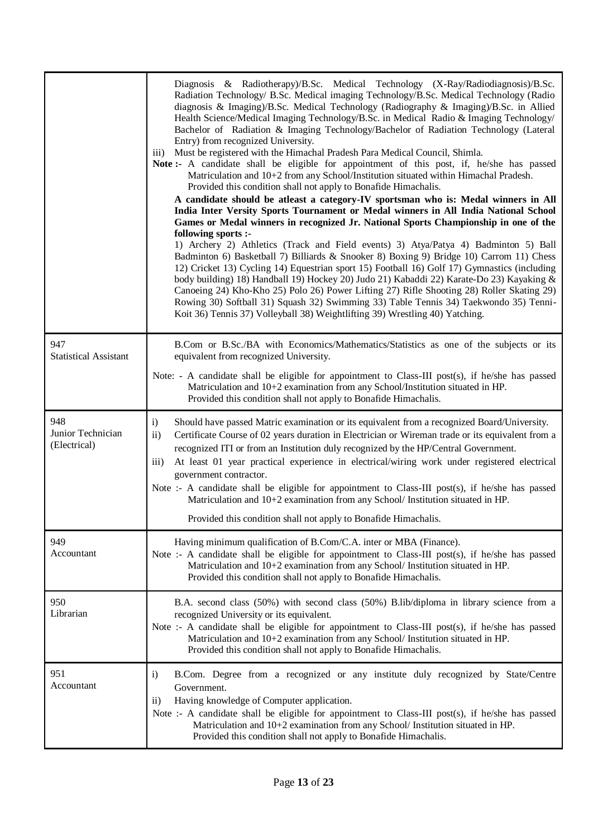|                                          | Diagnosis & Radiotherapy)/B.Sc. Medical Technology (X-Ray/Radiodiagnosis)/B.Sc.<br>Radiation Technology/ B.Sc. Medical imaging Technology/B.Sc. Medical Technology (Radio<br>diagnosis & Imaging)/B.Sc. Medical Technology (Radiography & Imaging)/B.Sc. in Allied<br>Health Science/Medical Imaging Technology/B.Sc. in Medical Radio & Imaging Technology/<br>Bachelor of Radiation & Imaging Technology/Bachelor of Radiation Technology (Lateral<br>Entry) from recognized University.<br>Must be registered with the Himachal Pradesh Para Medical Council, Shimla.<br>$\overline{111}$<br>Note:- A candidate shall be eligible for appointment of this post, if, he/she has passed<br>Matriculation and 10+2 from any School/Institution situated within Himachal Pradesh.<br>Provided this condition shall not apply to Bonafide Himachalis.<br>A candidate should be atleast a category-IV sportsman who is: Medal winners in All<br>India Inter Versity Sports Tournament or Medal winners in All India National School<br>Games or Medal winners in recognized Jr. National Sports Championship in one of the<br>following sports :-<br>1) Archery 2) Athletics (Track and Field events) 3) Atya/Patya 4) Badminton 5) Ball<br>Badminton 6) Basketball 7) Billiards & Snooker 8) Boxing 9) Bridge 10) Carrom 11) Chess<br>12) Cricket 13) Cycling 14) Equestrian sport 15) Football 16) Golf 17) Gymnastics (including<br>body building) 18) Handball 19) Hockey 20) Judo 21) Kabaddi 22) Karate-Do 23) Kayaking &<br>Canoeing 24) Kho-Kho 25) Polo 26) Power Lifting 27) Rifle Shooting 28) Roller Skating 29)<br>Rowing 30) Softball 31) Squash 32) Swimming 33) Table Tennis 34) Taekwondo 35) Tenni-<br>Koit 36) Tennis 37) Volleyball 38) Weightlifting 39) Wrestling 40) Yatching. |
|------------------------------------------|----------------------------------------------------------------------------------------------------------------------------------------------------------------------------------------------------------------------------------------------------------------------------------------------------------------------------------------------------------------------------------------------------------------------------------------------------------------------------------------------------------------------------------------------------------------------------------------------------------------------------------------------------------------------------------------------------------------------------------------------------------------------------------------------------------------------------------------------------------------------------------------------------------------------------------------------------------------------------------------------------------------------------------------------------------------------------------------------------------------------------------------------------------------------------------------------------------------------------------------------------------------------------------------------------------------------------------------------------------------------------------------------------------------------------------------------------------------------------------------------------------------------------------------------------------------------------------------------------------------------------------------------------------------------------------------------------------------------------------------------------------------------------------------------------|
| 947<br><b>Statistical Assistant</b>      | B.Com or B.Sc./BA with Economics/Mathematics/Statistics as one of the subjects or its<br>equivalent from recognized University.<br>Note: - A candidate shall be eligible for appointment to Class-III post(s), if he/she has passed<br>Matriculation and 10+2 examination from any School/Institution situated in HP.<br>Provided this condition shall not apply to Bonafide Himachalis.                                                                                                                                                                                                                                                                                                                                                                                                                                                                                                                                                                                                                                                                                                                                                                                                                                                                                                                                                                                                                                                                                                                                                                                                                                                                                                                                                                                                           |
| 948<br>Junior Technician<br>(Electrical) | i)<br>Should have passed Matric examination or its equivalent from a recognized Board/University.<br>$\mathbf{ii}$<br>Certificate Course of 02 years duration in Electrician or Wireman trade or its equivalent from a<br>recognized ITI or from an Institution duly recognized by the HP/Central Government.<br>At least 01 year practical experience in electrical/wiring work under registered electrical<br>iii)<br>government contractor.<br>Note :- A candidate shall be eligible for appointment to Class-III post(s), if he/she has passed<br>Matriculation and 10+2 examination from any School/ Institution situated in HP.<br>Provided this condition shall not apply to Bonafide Himachalis.                                                                                                                                                                                                                                                                                                                                                                                                                                                                                                                                                                                                                                                                                                                                                                                                                                                                                                                                                                                                                                                                                           |
| 949<br>Accountant                        | Having minimum qualification of B.Com/C.A. inter or MBA (Finance).<br>Note :- A candidate shall be eligible for appointment to Class-III post(s), if he/she has passed<br>Matriculation and 10+2 examination from any School/ Institution situated in HP.<br>Provided this condition shall not apply to Bonafide Himachalis.                                                                                                                                                                                                                                                                                                                                                                                                                                                                                                                                                                                                                                                                                                                                                                                                                                                                                                                                                                                                                                                                                                                                                                                                                                                                                                                                                                                                                                                                       |
| 950<br>Librarian                         | B.A. second class (50%) with second class (50%) B.lib/diploma in library science from a<br>recognized University or its equivalent.<br>Note :- A candidate shall be eligible for appointment to Class-III post(s), if he/she has passed<br>Matriculation and 10+2 examination from any School/ Institution situated in HP.<br>Provided this condition shall not apply to Bonafide Himachalis.                                                                                                                                                                                                                                                                                                                                                                                                                                                                                                                                                                                                                                                                                                                                                                                                                                                                                                                                                                                                                                                                                                                                                                                                                                                                                                                                                                                                      |
| 951<br>Accountant                        | B.Com. Degree from a recognized or any institute duly recognized by State/Centre<br>$\mathbf{i}$<br>Government.                                                                                                                                                                                                                                                                                                                                                                                                                                                                                                                                                                                                                                                                                                                                                                                                                                                                                                                                                                                                                                                                                                                                                                                                                                                                                                                                                                                                                                                                                                                                                                                                                                                                                    |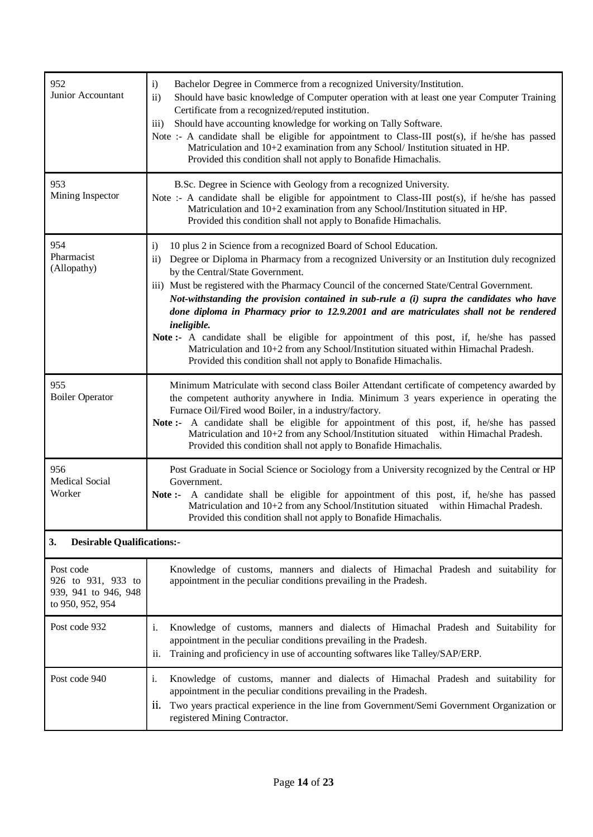| 952<br>Junior Accountant                | i)<br>Bachelor Degree in Commerce from a recognized University/Institution.<br>$\mathbf{ii}$<br>Should have basic knowledge of Computer operation with at least one year Computer Training<br>Certificate from a recognized/reputed institution.<br>Should have accounting knowledge for working on Tally Software.<br>$\overline{iii}$<br>Note :- A candidate shall be eligible for appointment to Class-III post(s), if he/she has passed<br>Matriculation and 10+2 examination from any School/ Institution situated in HP.<br>Provided this condition shall not apply to Bonafide Himachalis.                                                                                                                                                                                              |  |  |  |
|-----------------------------------------|------------------------------------------------------------------------------------------------------------------------------------------------------------------------------------------------------------------------------------------------------------------------------------------------------------------------------------------------------------------------------------------------------------------------------------------------------------------------------------------------------------------------------------------------------------------------------------------------------------------------------------------------------------------------------------------------------------------------------------------------------------------------------------------------|--|--|--|
| 953<br>Mining Inspector                 | B.Sc. Degree in Science with Geology from a recognized University.<br>Note :- A candidate shall be eligible for appointment to Class-III post(s), if he/she has passed<br>Matriculation and 10+2 examination from any School/Institution situated in HP.<br>Provided this condition shall not apply to Bonafide Himachalis.                                                                                                                                                                                                                                                                                                                                                                                                                                                                    |  |  |  |
| 954<br>Pharmacist<br>(Allopathy)        | $\mathbf{i}$<br>10 plus 2 in Science from a recognized Board of School Education.<br>Degree or Diploma in Pharmacy from a recognized University or an Institution duly recognized<br>$\rm ii)$<br>by the Central/State Government.<br>iii) Must be registered with the Pharmacy Council of the concerned State/Central Government.<br>Not-withstanding the provision contained in sub-rule a (i) supra the candidates who have<br>done diploma in Pharmacy prior to 12.9.2001 and are matriculates shall not be rendered<br>ineligible.<br>Note:- A candidate shall be eligible for appointment of this post, if, he/she has passed<br>Matriculation and 10+2 from any School/Institution situated within Himachal Pradesh.<br>Provided this condition shall not apply to Bonafide Himachalis. |  |  |  |
| 955<br><b>Boiler Operator</b>           | Minimum Matriculate with second class Boiler Attendant certificate of competency awarded by<br>the competent authority anywhere in India. Minimum 3 years experience in operating the<br>Furnace Oil/Fired wood Boiler, in a industry/factory.<br>Note:- A candidate shall be eligible for appointment of this post, if, he/she has passed<br>Matriculation and 10+2 from any School/Institution situated within Himachal Pradesh.<br>Provided this condition shall not apply to Bonafide Himachalis.                                                                                                                                                                                                                                                                                          |  |  |  |
| 956<br><b>Medical Social</b><br>Worker  | Post Graduate in Social Science or Sociology from a University recognized by the Central or HP<br>Government.<br>Note:- A candidate shall be eligible for appointment of this post, if, he/she has passed<br>Matriculation and 10+2 from any School/Institution situated within Himachal Pradesh.<br>Provided this condition shall not apply to Bonafide Himachalis.                                                                                                                                                                                                                                                                                                                                                                                                                           |  |  |  |
| 3.<br><b>Desirable Qualifications:-</b> |                                                                                                                                                                                                                                                                                                                                                                                                                                                                                                                                                                                                                                                                                                                                                                                                |  |  |  |
| $\mathbf{D}_{\alpha}$ code              | Knowledge of customs manners and dialects of Himachal Pradesh and suitability for                                                                                                                                                                                                                                                                                                                                                                                                                                                                                                                                                                                                                                                                                                              |  |  |  |

| Post code<br>926 to 931, 933 to<br>939, 941 to 946, 948<br>to 950, 952, 954 | Knowledge of customs, manners and dialects of Himachal Pradesh and suitability for<br>appointment in the peculiar conditions prevailing in the Pradesh.                                                                                                                                            |
|-----------------------------------------------------------------------------|----------------------------------------------------------------------------------------------------------------------------------------------------------------------------------------------------------------------------------------------------------------------------------------------------|
| Post code 932                                                               | Knowledge of customs, manners and dialects of Himachal Pradesh and Suitability for<br>1.<br>appointment in the peculiar conditions prevailing in the Pradesh.<br>Training and proficiency in use of accounting softwares like Talley/SAP/ERP.<br>ii.                                               |
| Post code 940                                                               | Knowledge of customs, manner and dialects of Himachal Pradesh and suitability for<br>1.<br>appointment in the peculiar conditions prevailing in the Pradesh.<br>Two years practical experience in the line from Government/Semi Government Organization or<br>11.<br>registered Mining Contractor. |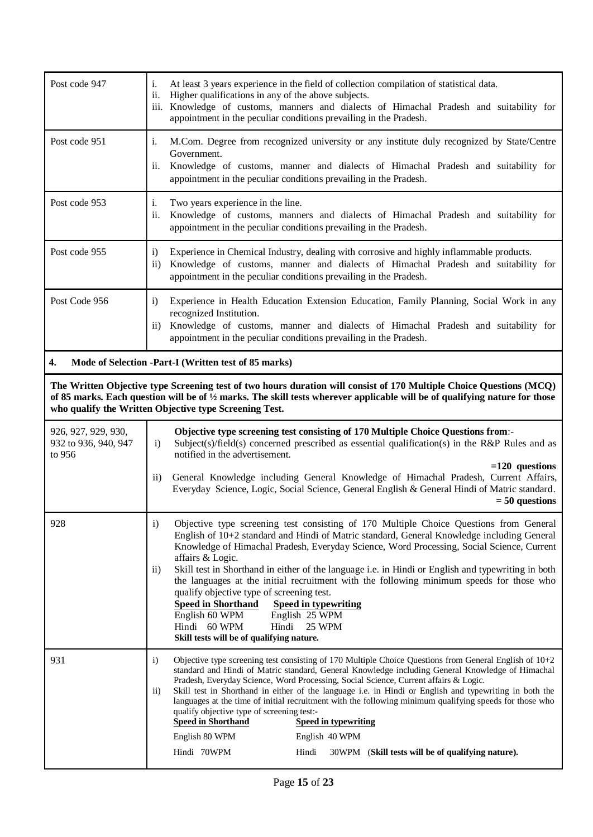| Post code 947                                                                                                                                                                                                                                                                                                          | i.<br>At least 3 years experience in the field of collection compilation of statistical data.<br>Higher qualifications in any of the above subjects.<br>ii.<br>iii. Knowledge of customs, manners and dialects of Himachal Pradesh and suitability for<br>appointment in the peculiar conditions prevailing in the Pradesh.                                                                                                                                                                                                                                                                                                                                                                                                                                        |  |  |  |
|------------------------------------------------------------------------------------------------------------------------------------------------------------------------------------------------------------------------------------------------------------------------------------------------------------------------|--------------------------------------------------------------------------------------------------------------------------------------------------------------------------------------------------------------------------------------------------------------------------------------------------------------------------------------------------------------------------------------------------------------------------------------------------------------------------------------------------------------------------------------------------------------------------------------------------------------------------------------------------------------------------------------------------------------------------------------------------------------------|--|--|--|
| Post code 951                                                                                                                                                                                                                                                                                                          | M.Com. Degree from recognized university or any institute duly recognized by State/Centre<br>i.<br>Government.<br>ii.<br>Knowledge of customs, manner and dialects of Himachal Pradesh and suitability for<br>appointment in the peculiar conditions prevailing in the Pradesh.                                                                                                                                                                                                                                                                                                                                                                                                                                                                                    |  |  |  |
| Post code 953                                                                                                                                                                                                                                                                                                          | Two years experience in the line.<br>Knowledge of customs, manners and dialects of Himachal Pradesh and suitability for<br>appointment in the peculiar conditions prevailing in the Pradesh.                                                                                                                                                                                                                                                                                                                                                                                                                                                                                                                                                                       |  |  |  |
| Post code 955                                                                                                                                                                                                                                                                                                          | Experience in Chemical Industry, dealing with corrosive and highly inflammable products.<br>$\mathbf{i}$<br>Knowledge of customs, manner and dialects of Himachal Pradesh and suitability for<br>$\rm ii)$<br>appointment in the peculiar conditions prevailing in the Pradesh.                                                                                                                                                                                                                                                                                                                                                                                                                                                                                    |  |  |  |
| Post Code 956                                                                                                                                                                                                                                                                                                          | $\mathbf{i}$<br>Experience in Health Education Extension Education, Family Planning, Social Work in any<br>recognized Institution.<br>Knowledge of customs, manner and dialects of Himachal Pradesh and suitability for<br>$\ddot{1}$<br>appointment in the peculiar conditions prevailing in the Pradesh.                                                                                                                                                                                                                                                                                                                                                                                                                                                         |  |  |  |
| 4.                                                                                                                                                                                                                                                                                                                     | Mode of Selection -Part-I (Written test of 85 marks)                                                                                                                                                                                                                                                                                                                                                                                                                                                                                                                                                                                                                                                                                                               |  |  |  |
| The Written Objective type Screening test of two hours duration will consist of 170 Multiple Choice Questions (MCQ)<br>of 85 marks. Each question will be of $\frac{1}{2}$ marks. The skill tests wherever applicable will be of qualifying nature for those<br>who qualify the Written Objective type Screening Test. |                                                                                                                                                                                                                                                                                                                                                                                                                                                                                                                                                                                                                                                                                                                                                                    |  |  |  |
|                                                                                                                                                                                                                                                                                                                        |                                                                                                                                                                                                                                                                                                                                                                                                                                                                                                                                                                                                                                                                                                                                                                    |  |  |  |
| 926, 927, 929, 930,<br>932 to 936, 940, 947<br>to 956                                                                                                                                                                                                                                                                  | Objective type screening test consisting of 170 Multiple Choice Questions from:-<br>Subject(s)/field(s) concerned prescribed as essential qualification(s) in the R&P Rules and as<br>$\mathbf{i}$<br>notified in the advertisement.                                                                                                                                                                                                                                                                                                                                                                                                                                                                                                                               |  |  |  |
|                                                                                                                                                                                                                                                                                                                        | $=120$ questions<br>General Knowledge including General Knowledge of Himachal Pradesh, Current Affairs,<br>$\mathbf{ii}$<br>Everyday Science, Logic, Social Science, General English & General Hindi of Matric standard.<br>$= 50$ questions                                                                                                                                                                                                                                                                                                                                                                                                                                                                                                                       |  |  |  |
| 928                                                                                                                                                                                                                                                                                                                    | i)<br>Objective type screening test consisting of 170 Multiple Choice Questions from General<br>English of 10+2 standard and Hindi of Matric standard, General Knowledge including General<br>Knowledge of Himachal Pradesh, Everyday Science, Word Processing, Social Science, Current<br>affairs & Logic.<br>Skill test in Shorthand in either of the language i.e. in Hindi or English and typewriting in both<br>$\mathbf{ii}$<br>the languages at the initial recruitment with the following minimum speeds for those who<br>qualify objective type of screening test.<br><b>Speed in Shorthand</b><br><b>Speed in typewriting</b><br>English 60 WPM<br>English 25 WPM<br>Hindi<br><b>25 WPM</b><br>Hindi 60 WPM<br>Skill tests will be of qualifying nature. |  |  |  |
| 931                                                                                                                                                                                                                                                                                                                    | Objective type screening test consisting of 170 Multiple Choice Questions from General English of $10+2$<br>$\mathbf{i}$<br>standard and Hindi of Matric standard, General Knowledge including General Knowledge of Himachal<br>Pradesh, Everyday Science, Word Processing, Social Science, Current affairs & Logic.<br>Skill test in Shorthand in either of the language i.e. in Hindi or English and typewriting in both the<br>$\rm ii)$<br>languages at the time of initial recruitment with the following minimum qualifying speeds for those who<br>qualify objective type of screening test:-<br><b>Speed in typewriting</b><br><b>Speed in Shorthand</b><br>English 80 WPM<br>English 40 WPM                                                               |  |  |  |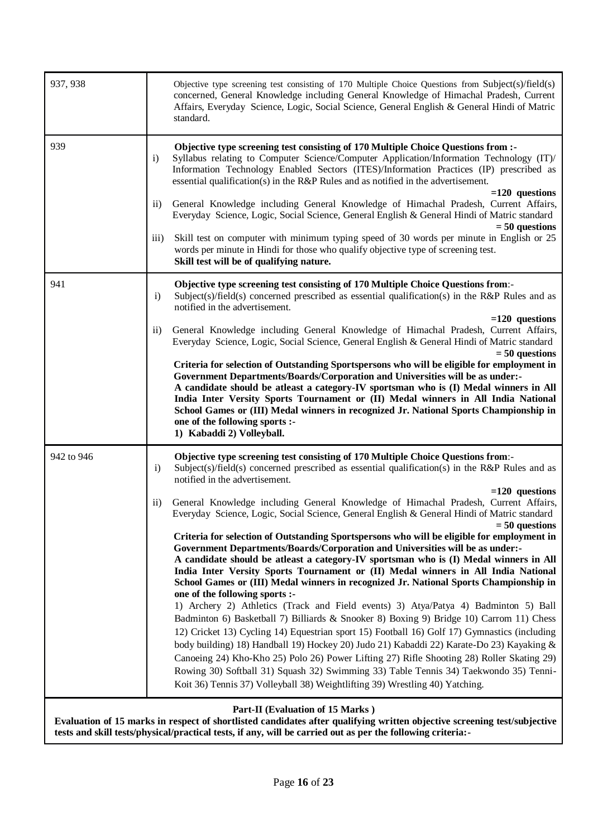| 937, 938   |                  | Objective type screening test consisting of 170 Multiple Choice Questions from Subject(s)/field(s)<br>concerned, General Knowledge including General Knowledge of Himachal Pradesh, Current<br>Affairs, Everyday Science, Logic, Social Science, General English & General Hindi of Matric<br>standard.                                                                                                                                                                                                                                                                                                                                                                                                                                                                                                                                                                                                                                                                                                                                                                                                                                         |
|------------|------------------|-------------------------------------------------------------------------------------------------------------------------------------------------------------------------------------------------------------------------------------------------------------------------------------------------------------------------------------------------------------------------------------------------------------------------------------------------------------------------------------------------------------------------------------------------------------------------------------------------------------------------------------------------------------------------------------------------------------------------------------------------------------------------------------------------------------------------------------------------------------------------------------------------------------------------------------------------------------------------------------------------------------------------------------------------------------------------------------------------------------------------------------------------|
| 939        | $\mathbf{i}$     | Objective type screening test consisting of 170 Multiple Choice Questions from :-<br>Syllabus relating to Computer Science/Computer Application/Information Technology (IT)/<br>Information Technology Enabled Sectors (ITES)/Information Practices (IP) prescribed as<br>essential qualification(s) in the R&P Rules and as notified in the advertisement.                                                                                                                                                                                                                                                                                                                                                                                                                                                                                                                                                                                                                                                                                                                                                                                     |
|            | $\rm ii)$        | $=120$ questions<br>General Knowledge including General Knowledge of Himachal Pradesh, Current Affairs,<br>Everyday Science, Logic, Social Science, General English & General Hindi of Matric standard                                                                                                                                                                                                                                                                                                                                                                                                                                                                                                                                                                                                                                                                                                                                                                                                                                                                                                                                          |
|            | $\overline{iii}$ | $= 50$ questions<br>Skill test on computer with minimum typing speed of 30 words per minute in English or 25<br>words per minute in Hindi for those who qualify objective type of screening test.<br>Skill test will be of qualifying nature.                                                                                                                                                                                                                                                                                                                                                                                                                                                                                                                                                                                                                                                                                                                                                                                                                                                                                                   |
| 941        | $\mathbf{i}$     | Objective type screening test consisting of 170 Multiple Choice Questions from:-<br>Subject(s)/field(s) concerned prescribed as essential qualification(s) in the R&P Rules and as<br>notified in the advertisement.                                                                                                                                                                                                                                                                                                                                                                                                                                                                                                                                                                                                                                                                                                                                                                                                                                                                                                                            |
|            | $\rm ii)$        | $=120$ questions<br>General Knowledge including General Knowledge of Himachal Pradesh, Current Affairs,<br>Everyday Science, Logic, Social Science, General English & General Hindi of Matric standard<br>$= 50$ questions                                                                                                                                                                                                                                                                                                                                                                                                                                                                                                                                                                                                                                                                                                                                                                                                                                                                                                                      |
|            |                  | Criteria for selection of Outstanding Sportspersons who will be eligible for employment in<br><b>Government Departments/Boards/Corporation and Universities will be as under:-</b><br>A candidate should be atleast a category-IV sportsman who is (I) Medal winners in All<br>India Inter Versity Sports Tournament or (II) Medal winners in All India National<br>School Games or (III) Medal winners in recognized Jr. National Sports Championship in<br>one of the following sports :-<br>1) Kabaddi 2) Volleyball.                                                                                                                                                                                                                                                                                                                                                                                                                                                                                                                                                                                                                        |
| 942 to 946 | $\mathbf{i}$     | <b>Objective type screening test consisting of 170 Multiple Choice Questions from:-</b><br>Subject(s)/field(s) concerned prescribed as essential qualification(s) in the R&P Rules and as<br>notified in the advertisement.                                                                                                                                                                                                                                                                                                                                                                                                                                                                                                                                                                                                                                                                                                                                                                                                                                                                                                                     |
|            | $\mathbf{ii}$    | $=120$ questions<br>General Knowledge including General Knowledge of Himachal Pradesh, Current Affairs,<br>Everyday Science, Logic, Social Science, General English & General Hindi of Matric standard<br>$= 50$ questions                                                                                                                                                                                                                                                                                                                                                                                                                                                                                                                                                                                                                                                                                                                                                                                                                                                                                                                      |
|            |                  | Criteria for selection of Outstanding Sportspersons who will be eligible for employment in<br><b>Government Departments/Boards/Corporation and Universities will be as under:-</b><br>A candidate should be atleast a category-IV sportsman who is (I) Medal winners in All<br>India Inter Versity Sports Tournament or (II) Medal winners in All India National<br>School Games or (III) Medal winners in recognized Jr. National Sports Championship in<br>one of the following sports :-<br>1) Archery 2) Athletics (Track and Field events) 3) Atya/Patya 4) Badminton 5) Ball<br>Badminton 6) Basketball 7) Billiards & Snooker 8) Boxing 9) Bridge 10) Carrom 11) Chess<br>12) Cricket 13) Cycling 14) Equestrian sport 15) Football 16) Golf 17) Gymnastics (including<br>body building) 18) Handball 19) Hockey 20) Judo 21) Kabaddi 22) Karate-Do 23) Kayaking &<br>Canoeing 24) Kho-Kho 25) Polo 26) Power Lifting 27) Rifle Shooting 28) Roller Skating 29)<br>Rowing 30) Softball 31) Squash 32) Swimming 33) Table Tennis 34) Taekwondo 35) Tenni-<br>Koit 36) Tennis 37) Volleyball 38) Weightlifting 39) Wrestling 40) Yatching. |
|            |                  | Part-II (Evaluation of 15 Marks)<br>Evaluation of 15 marks in respect of shortlisted candidates after qualifying written objective screening test/subjective<br>tests and skill tests/physical/practical tests, if any, will be carried out as per the following criteria:-                                                                                                                                                                                                                                                                                                                                                                                                                                                                                                                                                                                                                                                                                                                                                                                                                                                                     |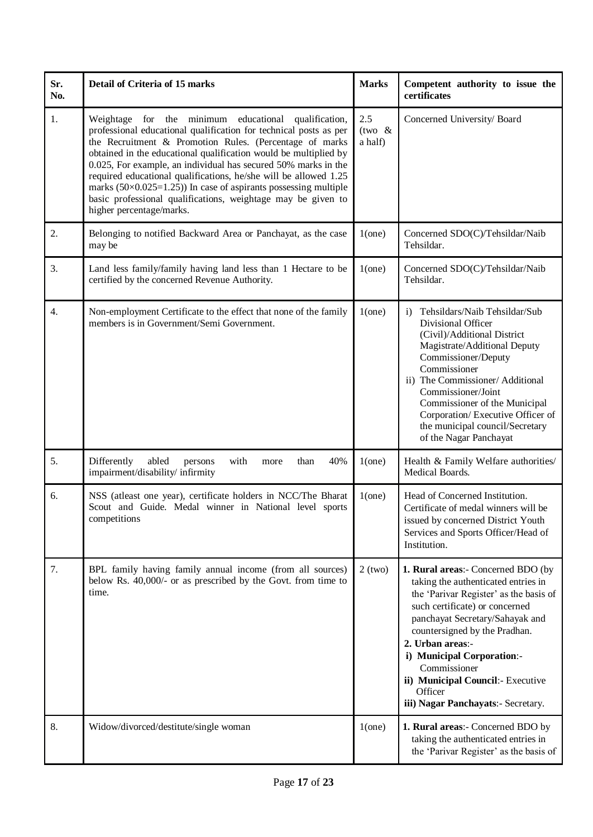| Sr.<br>No. | Detail of Criteria of 15 marks                                                                                                                                                                                                                                                                                                                                                                                                                                                                                                                                          | <b>Marks</b>               | Competent authority to issue the<br>certificates                                                                                                                                                                                                                                                                                                                                  |
|------------|-------------------------------------------------------------------------------------------------------------------------------------------------------------------------------------------------------------------------------------------------------------------------------------------------------------------------------------------------------------------------------------------------------------------------------------------------------------------------------------------------------------------------------------------------------------------------|----------------------------|-----------------------------------------------------------------------------------------------------------------------------------------------------------------------------------------------------------------------------------------------------------------------------------------------------------------------------------------------------------------------------------|
| 1.         | Weightage for the minimum educational qualification,<br>professional educational qualification for technical posts as per<br>the Recruitment & Promotion Rules. (Percentage of marks<br>obtained in the educational qualification would be multiplied by<br>0.025, For example, an individual has secured 50% marks in the<br>required educational qualifications, he/she will be allowed 1.25<br>marks $(50 \times 0.025=1.25)$ ) In case of aspirants possessing multiple<br>basic professional qualifications, weightage may be given to<br>higher percentage/marks. | 2.5<br>(two $&$<br>a half) | Concerned University/Board                                                                                                                                                                                                                                                                                                                                                        |
| 2.         | Belonging to notified Backward Area or Panchayat, as the case<br>may be                                                                                                                                                                                                                                                                                                                                                                                                                                                                                                 | $1$ (one)                  | Concerned SDO(C)/Tehsildar/Naib<br>Tehsildar.                                                                                                                                                                                                                                                                                                                                     |
| 3.         | Land less family/family having land less than 1 Hectare to be<br>certified by the concerned Revenue Authority.                                                                                                                                                                                                                                                                                                                                                                                                                                                          | $1$ (one)                  | Concerned SDO(C)/Tehsildar/Naib<br>Tehsildar.                                                                                                                                                                                                                                                                                                                                     |
| 4.         | Non-employment Certificate to the effect that none of the family<br>members is in Government/Semi Government.                                                                                                                                                                                                                                                                                                                                                                                                                                                           | $1$ (one)                  | Tehsildars/Naib Tehsildar/Sub<br>$\mathbf{i}$<br>Divisional Officer<br>(Civil)/Additional District<br>Magistrate/Additional Deputy<br>Commissioner/Deputy<br>Commissioner<br>ii) The Commissioner/ Additional<br>Commissioner/Joint<br>Commissioner of the Municipal<br>Corporation/Executive Officer of<br>the municipal council/Secretary<br>of the Nagar Panchayat             |
| 5.         | Differently<br>abled<br>40%<br>with<br>than<br>persons<br>more<br>impairment/disability/ infirmity                                                                                                                                                                                                                                                                                                                                                                                                                                                                      | $1$ (one)                  | Health & Family Welfare authorities/<br>Medical Boards.                                                                                                                                                                                                                                                                                                                           |
| 6.         | NSS (atleast one year), certificate holders in NCC/The Bharat<br>Scout and Guide. Medal winner in National level sports<br>competitions                                                                                                                                                                                                                                                                                                                                                                                                                                 | $1$ (one)                  | Head of Concerned Institution.<br>Certificate of medal winners will be<br>issued by concerned District Youth<br>Services and Sports Officer/Head of<br>Institution.                                                                                                                                                                                                               |
| 7.         | BPL family having family annual income (from all sources)<br>below Rs. 40,000/- or as prescribed by the Govt. from time to<br>time.                                                                                                                                                                                                                                                                                                                                                                                                                                     | $2$ (two)                  | 1. Rural areas:- Concerned BDO (by<br>taking the authenticated entries in<br>the 'Parivar Register' as the basis of<br>such certificate) or concerned<br>panchayat Secretary/Sahayak and<br>countersigned by the Pradhan.<br>2. Urban areas:-<br>i) Municipal Corporation:-<br>Commissioner<br>ii) Municipal Council:- Executive<br>Officer<br>iii) Nagar Panchayats:- Secretary. |
| 8.         | Widow/divorced/destitute/single woman                                                                                                                                                                                                                                                                                                                                                                                                                                                                                                                                   | $1$ (one)                  | 1. Rural areas:- Concerned BDO by<br>taking the authenticated entries in<br>the 'Parivar Register' as the basis of                                                                                                                                                                                                                                                                |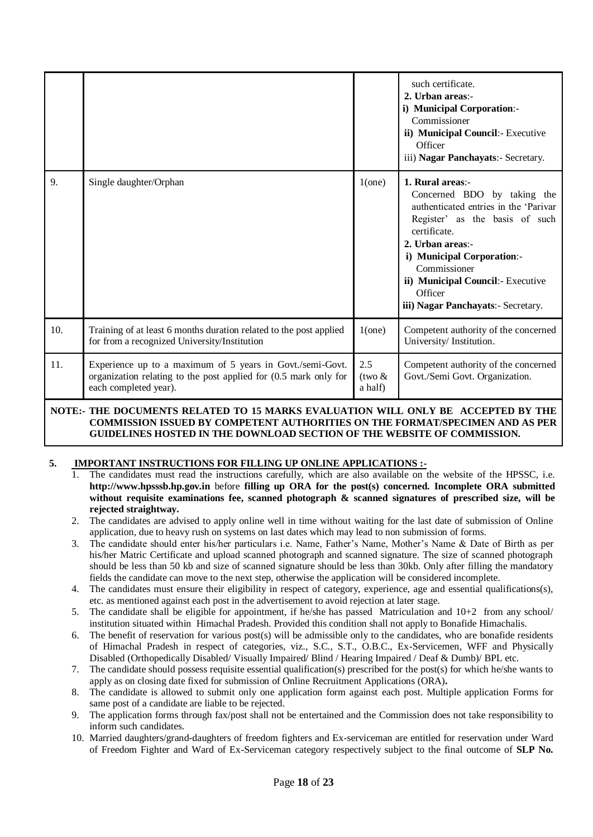|     |                                                                                                                                                        |                             | such certificate.<br>2. Urban areas:-<br>i) Municipal Corporation:-<br>Commissioner<br>ii) Municipal Council:- Executive<br>Officer<br>iii) Nagar Panchayats:- Secretary.                                                                                                                          |
|-----|--------------------------------------------------------------------------------------------------------------------------------------------------------|-----------------------------|----------------------------------------------------------------------------------------------------------------------------------------------------------------------------------------------------------------------------------------------------------------------------------------------------|
| 9.  | Single daughter/Orphan                                                                                                                                 | $1$ (one)                   | 1. Rural areas:-<br>Concerned BDO by taking the<br>authenticated entries in the 'Parivar<br>Register' as the basis of such<br>certificate.<br>2. Urban areas:-<br>i) Municipal Corporation:-<br>Commissioner<br>ii) Municipal Council:- Executive<br>Officer<br>iii) Nagar Panchayats:- Secretary. |
| 10. | Training of at least 6 months duration related to the post applied<br>for from a recognized University/Institution                                     | $1$ (one)                   | Competent authority of the concerned<br>University/Institution.                                                                                                                                                                                                                                    |
| 11. | Experience up to a maximum of 5 years in Govt./semi-Govt.<br>organization relating to the post applied for (0.5 mark only for<br>each completed year). | 2.5<br>$(tw0 \&$<br>a half) | Competent authority of the concerned<br>Govt./Semi Govt. Organization.                                                                                                                                                                                                                             |

## **NOTE:- THE DOCUMENTS RELATED TO 15 MARKS EVALUATION WILL ONLY BE ACCEPTED BY THE COMMISSION ISSUED BY COMPETENT AUTHORITIES ON THE FORMAT/SPECIMEN AND AS PER GUIDELINES HOSTED IN THE DOWNLOAD SECTION OF THE WEBSITE OF COMMISSION.**

## **5. IMPORTANT INSTRUCTIONS FOR FILLING UP ONLINE APPLICATIONS :-**

- 1. The candidates must read the instructions carefully, which are also available on the website of the HPSSC, i.e. **http://www.hpsssb.hp.gov.in** before **filling up ORA for the post(s) concerned. Incomplete ORA submitted without requisite examinations fee, scanned photograph & scanned signatures of prescribed size, will be rejected straightway.**
- 2. The candidates are advised to apply online well in time without waiting for the last date of submission of Online application, due to heavy rush on systems on last dates which may lead to non submission of forms.
- 3. The candidate should enter his/her particulars i.e. Name, Father"s Name, Mother"s Name & Date of Birth as per his/her Matric Certificate and upload scanned photograph and scanned signature. The size of scanned photograph should be less than 50 kb and size of scanned signature should be less than 30kb. Only after filling the mandatory fields the candidate can move to the next step, otherwise the application will be considered incomplete.
- 4. The candidates must ensure their eligibility in respect of category, experience, age and essential qualifications(s), etc. as mentioned against each post in the advertisement to avoid rejection at later stage.
- 5. The candidate shall be eligible for appointment, if he/she has passed Matriculation and 10+2 from any school/ institution situated within Himachal Pradesh. Provided this condition shall not apply to Bonafide Himachalis.
- 6. The benefit of reservation for various post(s) will be admissible only to the candidates, who are bonafide residents of Himachal Pradesh in respect of categories, viz., S.C., S.T., O.B.C., Ex-Servicemen, WFF and Physically Disabled (Orthopedically Disabled/ Visually Impaired/ Blind / Hearing Impaired / Deaf & Dumb)/ BPL etc.
- 7. The candidate should possess requisite essential qualification(s) prescribed for the post(s) for which he/she wants to apply as on closing date fixed for submission of Online Recruitment Applications (ORA)**.**
- 8. The candidate is allowed to submit only one application form against each post. Multiple application Forms for same post of a candidate are liable to be rejected.
- 9. The application forms through fax/post shall not be entertained and the Commission does not take responsibility to inform such candidates.
- 10. Married daughters/grand-daughters of freedom fighters and Ex-serviceman are entitled for reservation under Ward of Freedom Fighter and Ward of Ex-Serviceman category respectively subject to the final outcome of **SLP No.**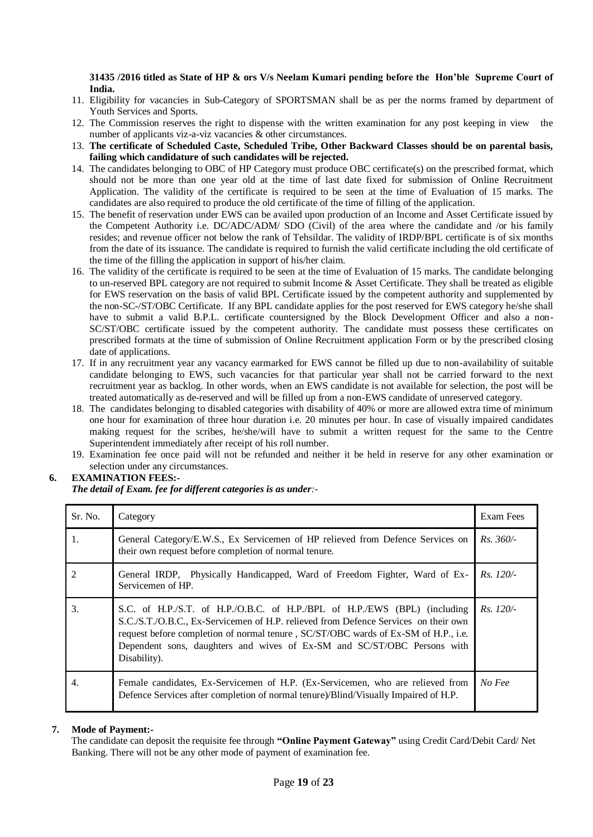### **31435 /2016 titled as State of HP & ors V/s Neelam Kumari pending before the Hon'ble Supreme Court of India.**

- 11. Eligibility for vacancies in Sub-Category of SPORTSMAN shall be as per the norms framed by department of Youth Services and Sports.
- 12. The Commission reserves the right to dispense with the written examination for any post keeping in view the number of applicants viz-a-viz vacancies & other circumstances.
- 13. **The certificate of Scheduled Caste, Scheduled Tribe, Other Backward Classes should be on parental basis, failing which candidature of such candidates will be rejected.**
- 14. The candidates belonging to OBC of HP Category must produce OBC certificate(s) on the prescribed format, which should not be more than one year old at the time of last date fixed for submission of Online Recruitment Application. The validity of the certificate is required to be seen at the time of Evaluation of 15 marks. The candidates are also required to produce the old certificate of the time of filling of the application.
- 15. The benefit of reservation under EWS can be availed upon production of an Income and Asset Certificate issued by the Competent Authority i.e. DC/ADC/ADM/ SDO (Civil) of the area where the candidate and /or his family resides; and revenue officer not below the rank of Tehsildar. The validity of IRDP/BPL certificate is of six months from the date of its issuance. The candidate is required to furnish the valid certificate including the old certificate of the time of the filling the application in support of his/her claim.
- 16. The validity of the certificate is required to be seen at the time of Evaluation of 15 marks. The candidate belonging to un-reserved BPL category are not required to submit Income & Asset Certificate. They shall be treated as eligible for EWS reservation on the basis of valid BPL Certificate issued by the competent authority and supplemented by the non-SC-/ST/OBC Certificate. If any BPL candidate applies for the post reserved for EWS category he/she shall have to submit a valid B.P.L. certificate countersigned by the Block Development Officer and also a non-SC/ST/OBC certificate issued by the competent authority. The candidate must possess these certificates on prescribed formats at the time of submission of Online Recruitment application Form or by the prescribed closing date of applications.
- 17. If in any recruitment year any vacancy earmarked for EWS cannot be filled up due to non-availability of suitable candidate belonging to EWS, such vacancies for that particular year shall not be carried forward to the next recruitment year as backlog. In other words, when an EWS candidate is not available for selection, the post will be treated automatically as de-reserved and will be filled up from a non-EWS candidate of unreserved category.
- 18. The candidates belonging to disabled categories with disability of 40% or more are allowed extra time of minimum one hour for examination of three hour duration i.e. 20 minutes per hour. In case of visually impaired candidates making request for the scribes, he/she/will have to submit a written request for the same to the Centre Superintendent immediately after receipt of his roll number.
- 19. Examination fee once paid will not be refunded and neither it be held in reserve for any other examination or selection under any circumstances.

## **6. EXAMINATION FEES:-**

## *The detail of Exam. fee for different categories is as under:-*

| Sr. No. | Category                                                                                                                                                                                                                                                                                                                                          | Exam Fees   |
|---------|---------------------------------------------------------------------------------------------------------------------------------------------------------------------------------------------------------------------------------------------------------------------------------------------------------------------------------------------------|-------------|
| 1.      | General Category/E.W.S., Ex Servicemen of HP relieved from Defence Services on<br>their own request before completion of normal tenure.                                                                                                                                                                                                           | $Rs. 360/-$ |
| 2       | General IRDP, Physically Handicapped, Ward of Freedom Fighter, Ward of Ex-<br>Servicemen of HP.                                                                                                                                                                                                                                                   | $Rs. 120/-$ |
| 3.      | S.C. of H.P./S.T. of H.P./O.B.C. of H.P./BPL of H.P./EWS (BPL) (including<br>S.C./S.T./O.B.C., Ex-Servicemen of H.P. relieved from Defence Services on their own<br>request before completion of normal tenure, SC/ST/OBC wards of Ex-SM of H.P., i.e.<br>Dependent sons, daughters and wives of Ex-SM and SC/ST/OBC Persons with<br>Disability). | $Rs. 120/-$ |
| 4.      | Female candidates, Ex-Servicemen of H.P. (Ex-Servicemen, who are relieved from<br>Defence Services after completion of normal tenure)/Blind/Visually Impaired of H.P.                                                                                                                                                                             | No Fee      |

## **7. Mode of Payment:-**

The candidate can deposit the requisite fee through **"Online Payment Gateway"** using Credit Card/Debit Card/ Net Banking. There will not be any other mode of payment of examination fee.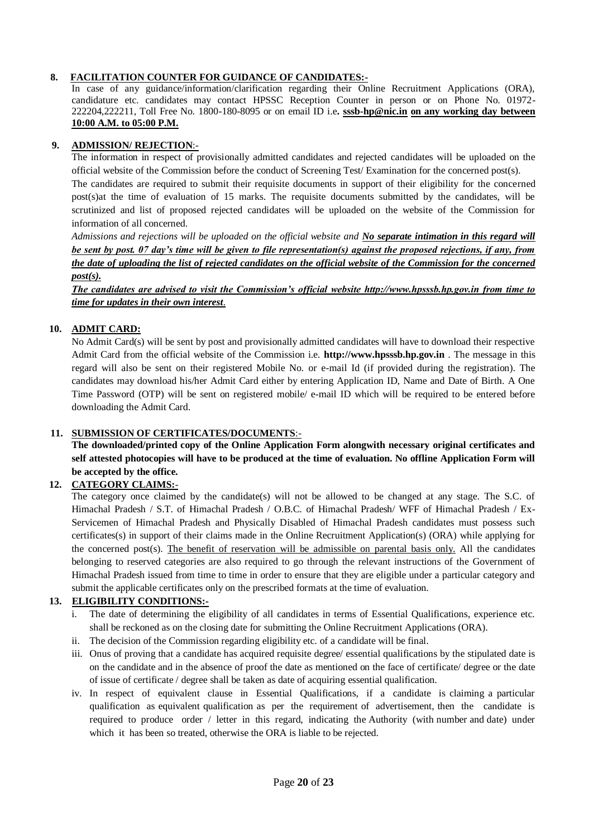## **8. FACILITATION COUNTER FOR GUIDANCE OF CANDIDATES:-**

In case of any guidance/information/clarification regarding their Online Recruitment Applications (ORA), candidature etc. candidates may contact HPSSC Reception Counter in person or on Phone No. 01972- 222204,222211, Toll Free No. 1800-180-8095 or on email ID i.e**. [sssb-hp@nic.in](mailto:sssb-hp@nic.in) on any working day between 10:00 A.M. to 05:00 P.M.**

## **9. ADMISSION/ REJECTION**:-

The information in respect of provisionally admitted candidates and rejected candidates will be uploaded on the official website of the Commission before the conduct of Screening Test/ Examination for the concerned post(s).

The candidates are required to submit their requisite documents in support of their eligibility for the concerned post(s)at the time of evaluation of 15 marks. The requisite documents submitted by the candidates, will be scrutinized and list of proposed rejected candidates will be uploaded on the website of the Commission for information of all concerned.

*Admissions and rejections will be uploaded on the official website and No separate intimation in this regard will be sent by post. 07 day's time will be given to file representation(s) against the proposed rejections, if any, from the date of uploading the list of rejected candidates on the official website of the Commission for the concerned post(s).*

*The candidates are advised to visit the Commission's official website http://www.hpsssb.hp.gov.in from time to time for updates in their own interest.*

## **10. ADMIT CARD:**

No Admit Card(s) will be sent by post and provisionally admitted candidates will have to download their respective Admit Card from the official website of the Commission i.e. **http://www.hpsssb.hp.gov.in** . The message in this regard will also be sent on their registered Mobile No. or e-mail Id (if provided during the registration). The candidates may download his/her Admit Card either by entering Application ID, Name and Date of Birth. A One Time Password (OTP) will be sent on registered mobile/ e-mail ID which will be required to be entered before downloading the Admit Card.

## **11. SUBMISSION OF CERTIFICATES/DOCUMENTS**:-

**The downloaded/printed copy of the Online Application Form alongwith necessary original certificates and self attested photocopies will have to be produced at the time of evaluation. No offline Application Form will be accepted by the office.**

## **12. CATEGORY CLAIMS:***-*

The category once claimed by the candidate(s) will not be allowed to be changed at any stage. The S.C. of Himachal Pradesh / S.T. of Himachal Pradesh / O.B.C. of Himachal Pradesh/ WFF of Himachal Pradesh / Ex-Servicemen of Himachal Pradesh and Physically Disabled of Himachal Pradesh candidates must possess such certificates(s) in support of their claims made in the Online Recruitment Application(s) (ORA) while applying for the concerned post(s). The benefit of reservation will be admissible on parental basis only. All the candidates belonging to reserved categories are also required to go through the relevant instructions of the Government of Himachal Pradesh issued from time to time in order to ensure that they are eligible under a particular category and submit the applicable certificates only on the prescribed formats at the time of evaluation.

## **13. ELIGIBILITY CONDITIONS:-**

- i. The date of determining the eligibility of all candidates in terms of Essential Qualifications, experience etc. shall be reckoned as on the closing date for submitting the Online Recruitment Applications (ORA).
- ii. The decision of the Commission regarding eligibility etc. of a candidate will be final.
- iii. Onus of proving that a candidate has acquired requisite degree/ essential qualifications by the stipulated date is on the candidate and in the absence of proof the date as mentioned on the face of certificate/ degree or the date of issue of certificate / degree shall be taken as date of acquiring essential qualification.
- iv. In respect of equivalent clause in Essential Qualifications, if a candidate is claiming a particular qualification as equivalent qualification as per the requirement of advertisement, then the candidate is required to produce order / letter in this regard, indicating the Authority (with number and date) under which it has been so treated, otherwise the ORA is liable to be rejected.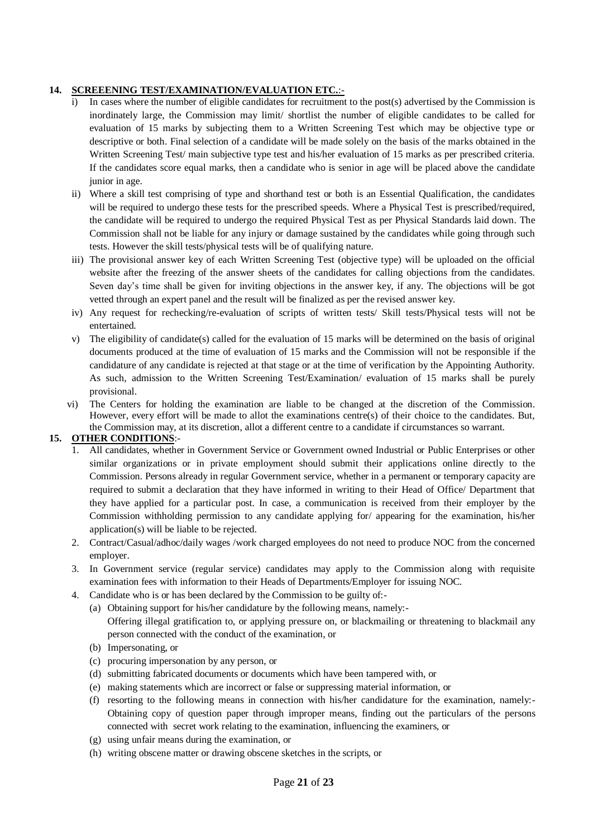# **14. SCREEENING TEST/EXAMINATION/EVALUATION ETC.**:-

- In cases where the number of eligible candidates for recruitment to the post(s) advertised by the Commission is inordinately large, the Commission may limit/ shortlist the number of eligible candidates to be called for evaluation of 15 marks by subjecting them to a Written Screening Test which may be objective type or descriptive or both. Final selection of a candidate will be made solely on the basis of the marks obtained in the Written Screening Test/ main subjective type test and his/her evaluation of 15 marks as per prescribed criteria. If the candidates score equal marks, then a candidate who is senior in age will be placed above the candidate junior in age.
- ii) Where a skill test comprising of type and shorthand test or both is an Essential Qualification, the candidates will be required to undergo these tests for the prescribed speeds. Where a Physical Test is prescribed/required, the candidate will be required to undergo the required Physical Test as per Physical Standards laid down. The Commission shall not be liable for any injury or damage sustained by the candidates while going through such tests. However the skill tests/physical tests will be of qualifying nature.
- iii) The provisional answer key of each Written Screening Test (objective type) will be uploaded on the official website after the freezing of the answer sheets of the candidates for calling objections from the candidates. Seven day"s time shall be given for inviting objections in the answer key, if any. The objections will be got vetted through an expert panel and the result will be finalized as per the revised answer key.
- iv) Any request for rechecking/re-evaluation of scripts of written tests/ Skill tests/Physical tests will not be entertained.
- v) The eligibility of candidate(s) called for the evaluation of 15 marks will be determined on the basis of original documents produced at the time of evaluation of 15 marks and the Commission will not be responsible if the candidature of any candidate is rejected at that stage or at the time of verification by the Appointing Authority. As such, admission to the Written Screening Test/Examination/ evaluation of 15 marks shall be purely provisional.
- vi) The Centers for holding the examination are liable to be changed at the discretion of the Commission. However, every effort will be made to allot the examinations centre(s) of their choice to the candidates. But, the Commission may, at its discretion, allot a different centre to a candidate if circumstances so warrant.

# **15. OTHER CONDITIONS**:-

- 1. All candidates, whether in Government Service or Government owned Industrial or Public Enterprises or other similar organizations or in private employment should submit their applications online directly to the Commission. Persons already in regular Government service, whether in a permanent or temporary capacity are required to submit a declaration that they have informed in writing to their Head of Office/ Department that they have applied for a particular post. In case, a communication is received from their employer by the Commission withholding permission to any candidate applying for/ appearing for the examination, his/her application(s) will be liable to be rejected.
- 2. Contract/Casual/adhoc/daily wages /work charged employees do not need to produce NOC from the concerned employer.
- 3. In Government service (regular service) candidates may apply to the Commission along with requisite examination fees with information to their Heads of Departments/Employer for issuing NOC.
- 4. Candidate who is or has been declared by the Commission to be guilty of:-
	- (a) Obtaining support for his/her candidature by the following means, namely:- Offering illegal gratification to, or applying pressure on, or blackmailing or threatening to blackmail any person connected with the conduct of the examination, or
	- (b) Impersonating, or
	- (c) procuring impersonation by any person, or
	- (d) submitting fabricated documents or documents which have been tampered with, or
	- (e) making statements which are incorrect or false or suppressing material information, or
	- (f) resorting to the following means in connection with his/her candidature for the examination, namely:- Obtaining copy of question paper through improper means, finding out the particulars of the persons connected with secret work relating to the examination, influencing the examiners, or
	- (g) using unfair means during the examination, or
	- (h) writing obscene matter or drawing obscene sketches in the scripts, or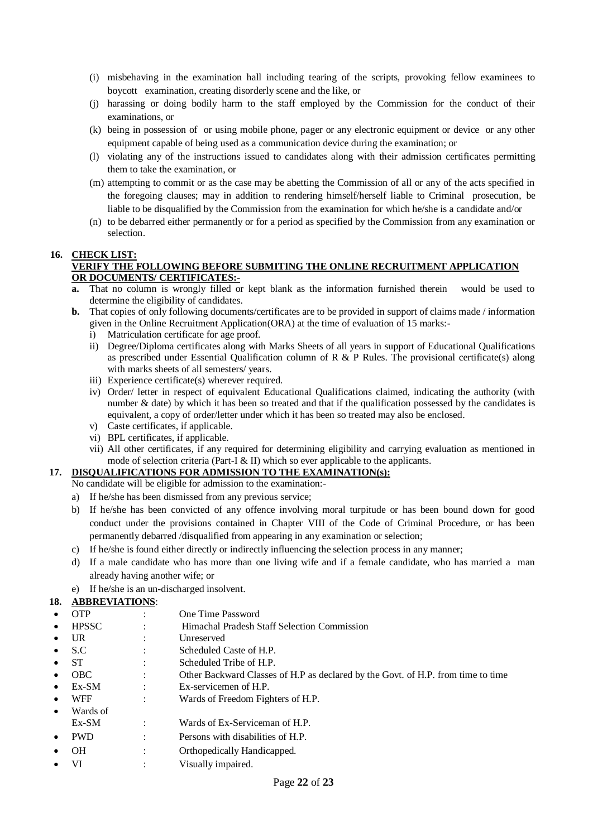- (i) misbehaving in the examination hall including tearing of the scripts, provoking fellow examinees to boycott examination, creating disorderly scene and the like, or
- (j) harassing or doing bodily harm to the staff employed by the Commission for the conduct of their examinations, or
- (k) being in possession of or using mobile phone, pager or any electronic equipment or device or any other equipment capable of being used as a communication device during the examination; or
- (l) violating any of the instructions issued to candidates along with their admission certificates permitting them to take the examination, or
- (m) attempting to commit or as the case may be abetting the Commission of all or any of the acts specified in the foregoing clauses; may in addition to rendering himself/herself liable to Criminal prosecution, be liable to be disqualified by the Commission from the examination for which he/she is a candidate and/or
- (n) to be debarred either permanently or for a period as specified by the Commission from any examination or selection.

# **16. CHECK LIST:**

### **VERIFY THE FOLLOWING BEFORE SUBMITING THE ONLINE RECRUITMENT APPLICATION OR DOCUMENTS/ CERTIFICATES:-**

- **a.** That no column is wrongly filled or kept blank as the information furnished therein would be used to determine the eligibility of candidates.
- **b.** That copies of only following documents/certificates are to be provided in support of claims made / information given in the Online Recruitment Application(ORA) at the time of evaluation of 15 marks:
	- i) Matriculation certificate for age proof.
	- ii) Degree/Diploma certificates along with Marks Sheets of all years in support of Educational Qualifications as prescribed under Essential Qualification column of R  $\&$  P Rules. The provisional certificate(s) along with marks sheets of all semesters/ years.
	- iii) Experience certificate(s) wherever required.
	- iv) Order/ letter in respect of equivalent Educational Qualifications claimed, indicating the authority (with number & date) by which it has been so treated and that if the qualification possessed by the candidates is equivalent, a copy of order/letter under which it has been so treated may also be enclosed.
	- v) Caste certificates, if applicable.
	- vi) BPL certificates, if applicable.
	- vii) All other certificates, if any required for determining eligibility and carrying evaluation as mentioned in mode of selection criteria (Part-I  $\&$  II) which so ever applicable to the applicants.

# **17. DISQUALIFICATIONS FOR ADMISSION TO THE EXAMINATION(s):**

- No candidate will be eligible for admission to the examination:-
- a) If he/she has been dismissed from any previous service;
- b) If he/she has been convicted of any offence involving moral turpitude or has been bound down for good conduct under the provisions contained in Chapter VIII of the Code of Criminal Procedure, or has been permanently debarred /disqualified from appearing in any examination or selection;
- c) If he/she is found either directly or indirectly influencing the selection process in any manner;
- d) If a male candidate who has more than one living wife and if a female candidate, who has married a man already having another wife; or
- e) If he/she is an un-discharged insolvent.

## **18. ABBREVIATIONS**:

- OTP : One Time Password
- HPSSC : Himachal Pradesh Staff Selection Commission
- UR : Unreserved
- S.C : Scheduled Caste of H.P.
- ST : Scheduled Tribe of H.P.
- OBC : Other Backward Classes of H.P as declared by the Govt. of H.P. from time to time
- Ex-SM : Ex-servicemen of H.P.
- WFF : Wards of Freedom Fighters of H.P.
- Wards of Ex-SM : Wards of Ex-Serviceman of H.P.
- PWD : Persons with disabilities of H.P.
- OH : Orthopedically Handicapped.
- VI : Visually impaired.